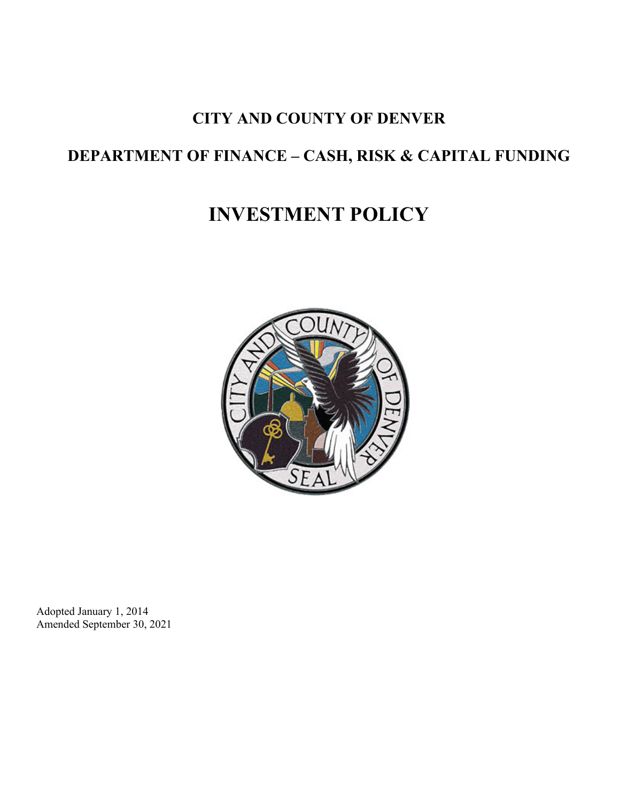# **CITY AND COUNTY OF DENVER**

# **DEPARTMENT OF FINANCE – CASH, RISK & CAPITAL FUNDING**

# **INVESTMENT POLICY**



Adopted January 1, 2014 Amended September 30, 2021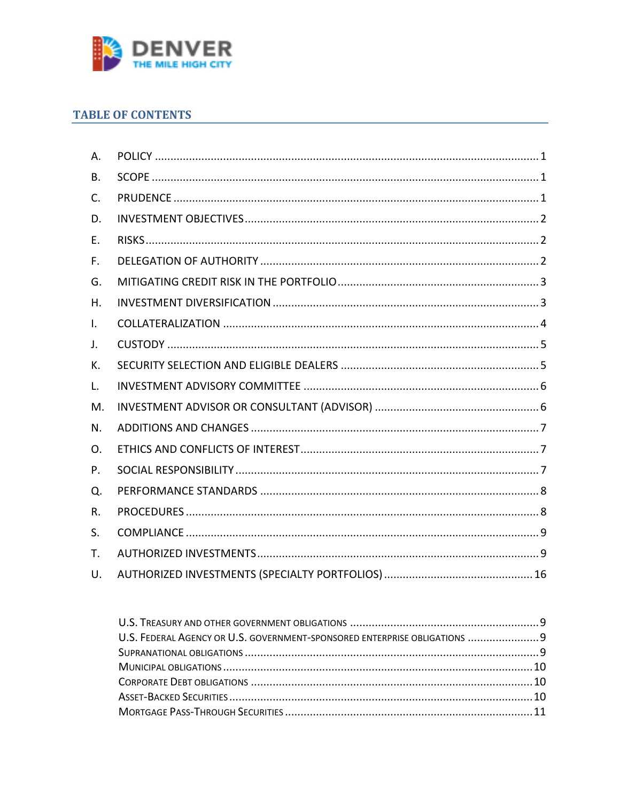

# **TABLE OF CONTENTS**

| Α.           |  |
|--------------|--|
| В.           |  |
| C.           |  |
| D.           |  |
| Ε.           |  |
| F.           |  |
| G.           |  |
| Η.           |  |
| $\mathsf{L}$ |  |
| J.           |  |
| К.           |  |
| L.           |  |
| M.           |  |
| N.           |  |
| O.           |  |
| P.           |  |
| Q.           |  |
| R.           |  |
| S.           |  |
| T.           |  |
| U.           |  |

| U.S. FEDERAL AGENCY OR U.S. GOVERNMENT-SPONSORED ENTERPRISE OBLIGATIONS  9 |  |
|----------------------------------------------------------------------------|--|
|                                                                            |  |
|                                                                            |  |
|                                                                            |  |
|                                                                            |  |
|                                                                            |  |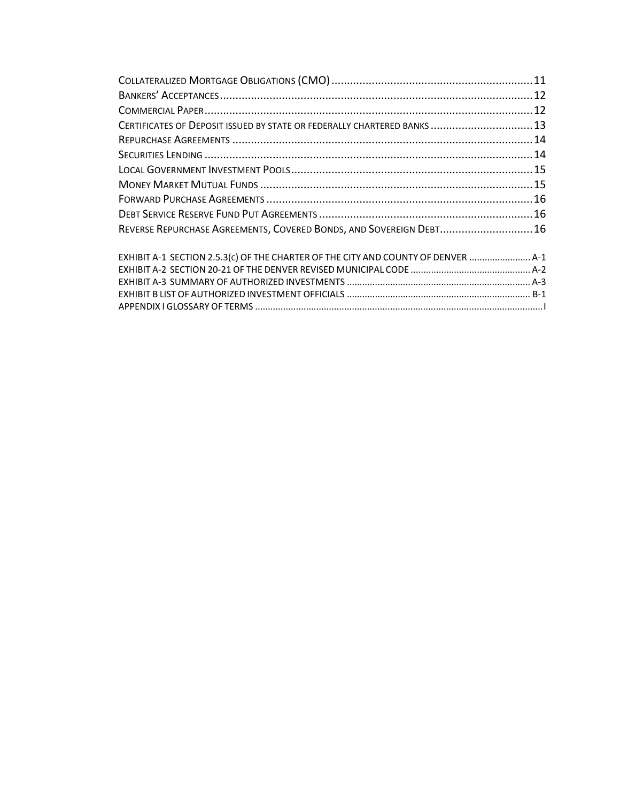| CERTIFICATES OF DEPOSIT ISSUED BY STATE OR FEDERALLY CHARTERED BANKS  13          |  |
|-----------------------------------------------------------------------------------|--|
|                                                                                   |  |
|                                                                                   |  |
|                                                                                   |  |
|                                                                                   |  |
|                                                                                   |  |
|                                                                                   |  |
| REVERSE REPURCHASE AGREEMENTS, COVERED BONDS, AND SOVEREIGN DEBT 16               |  |
| EXHIBIT A-1 SECTION 2.5.3(c) OF THE CHARTER OF THE CITY AND COUNTY OF DENVER  A-1 |  |
|                                                                                   |  |
|                                                                                   |  |
|                                                                                   |  |
|                                                                                   |  |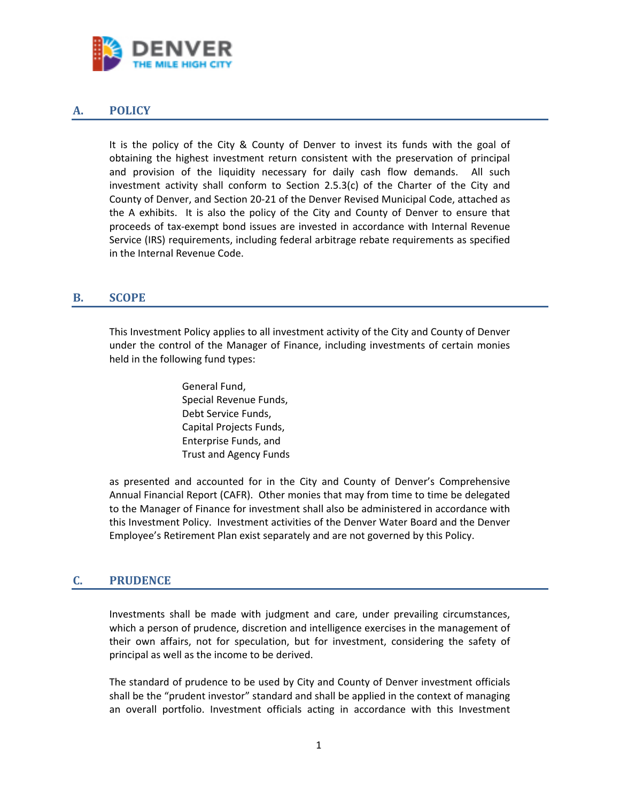

# <span id="page-3-0"></span>**A. POLICY**

It is the policy of the City & County of Denver to invest its funds with the goal of obtaining the highest investment return consistent with the preservation of principal and provision of the liquidity necessary for daily cash flow demands. All such investment activity shall conform to Section  $2.5.3(c)$  of the Charter of the City and County of Denver, and Section 20-21 of the Denver Revised Municipal Code, attached as the A exhibits. It is also the policy of the City and County of Denver to ensure that proceeds of tax-exempt bond issues are invested in accordance with Internal Revenue Service (IRS) requirements, including federal arbitrage rebate requirements as specified in the Internal Revenue Code.

# <span id="page-3-1"></span>**B. SCOPE**

This Investment Policy applies to all investment activity of the City and County of Denver under the control of the Manager of Finance, including investments of certain monies held in the following fund types:

> General Fund, Special Revenue Funds, Debt Service Funds, Capital Projects Funds, Enterprise Funds, and Trust and Agency Funds

as presented and accounted for in the City and County of Denver's Comprehensive Annual Financial Report (CAFR). Other monies that may from time to time be delegated to the Manager of Finance for investment shall also be administered in accordance with this Investment Policy. Investment activities of the Denver Water Board and the Denver Employee's Retirement Plan exist separately and are not governed by this Policy.

#### <span id="page-3-2"></span>**C. PRUDENCE**

Investments shall be made with judgment and care, under prevailing circumstances, which a person of prudence, discretion and intelligence exercises in the management of their own affairs, not for speculation, but for investment, considering the safety of principal as well as the income to be derived.

The standard of prudence to be used by City and County of Denver investment officials shall be the "prudent investor" standard and shall be applied in the context of managing an overall portfolio. Investment officials acting in accordance with this Investment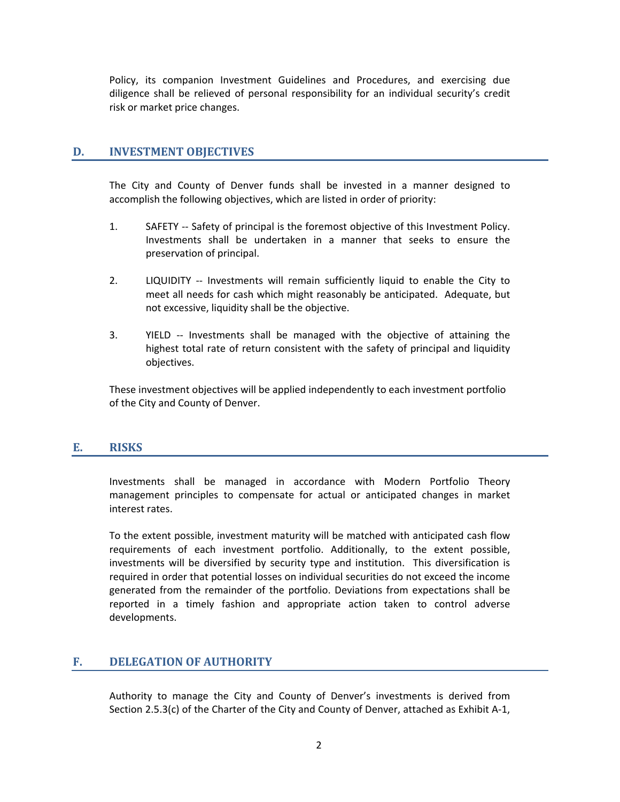Policy, its companion Investment Guidelines and Procedures, and exercising due diligence shall be relieved of personal responsibility for an individual security's credit risk or market price changes.

#### <span id="page-4-0"></span>**D. INVESTMENT OBJECTIVES**

The City and County of Denver funds shall be invested in a manner designed to accomplish the following objectives, which are listed in order of priority:

- 1. SAFETY -- Safety of principal is the foremost objective of this Investment Policy. Investments shall be undertaken in a manner that seeks to ensure the preservation of principal.
- 2. LIQUIDITY -- Investments will remain sufficiently liquid to enable the City to meet all needs for cash which might reasonably be anticipated. Adequate, but not excessive, liquidity shall be the objective.
- 3. YIELD -- Investments shall be managed with the objective of attaining the highest total rate of return consistent with the safety of principal and liquidity objectives.

These investment objectives will be applied independently to each investment portfolio of the City and County of Denver.

#### <span id="page-4-1"></span>**E. RISKS**

Investments shall be managed in accordance with Modern Portfolio Theory management principles to compensate for actual or anticipated changes in market interest rates.

To the extent possible, investment maturity will be matched with anticipated cash flow requirements of each investment portfolio. Additionally, to the extent possible, investments will be diversified by security type and institution. This diversification is required in order that potential losses on individual securities do not exceed the income generated from the remainder of the portfolio. Deviations from expectations shall be reported in a timely fashion and appropriate action taken to control adverse developments.

# <span id="page-4-2"></span>**F. DELEGATION OF AUTHORITY**

Authority to manage the City and County of Denver's investments is derived from Section 2.5.3(c) of the Charter of the City and County of Denver, attached as Exhibit A-1,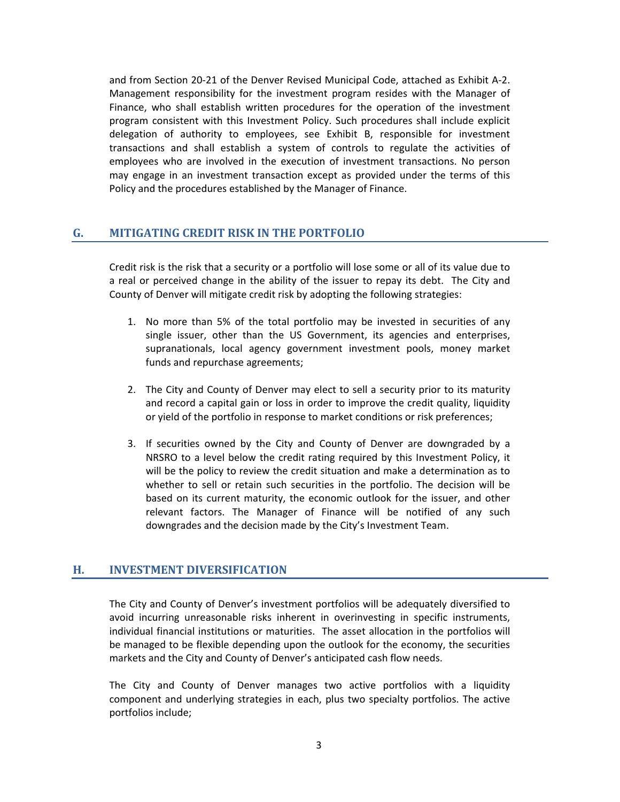and from Section 20-21 of the Denver Revised Municipal Code, attached as Exhibit A-2. Management responsibility for the investment program resides with the Manager of Finance, who shall establish written procedures for the operation of the investment program consistent with this Investment Policy. Such procedures shall include explicit delegation of authority to employees, see Exhibit B, responsible for investment transactions and shall establish a system of controls to regulate the activities of employees who are involved in the execution of investment transactions. No person may engage in an investment transaction except as provided under the terms of this Policy and the procedures established by the Manager of Finance.

#### <span id="page-5-0"></span>**G. MITIGATING CREDIT RISK IN THE PORTFOLIO**

Credit risk is the risk that a security or a portfolio will lose some or all of its value due to a real or perceived change in the ability of the issuer to repay its debt. The City and County of Denver will mitigate credit risk by adopting the following strategies:

- 1. No more than 5% of the total portfolio may be invested in securities of any single issuer, other than the US Government, its agencies and enterprises, supranationals, local agency government investment pools, money market funds and repurchase agreements;
- 2. The City and County of Denver may elect to sell a security prior to its maturity and record a capital gain or loss in order to improve the credit quality, liquidity or yield of the portfolio in response to market conditions or risk preferences;
- 3. If securities owned by the City and County of Denver are downgraded by a NRSRO to a level below the credit rating required by this Investment Policy, it will be the policy to review the credit situation and make a determination as to whether to sell or retain such securities in the portfolio. The decision will be based on its current maturity, the economic outlook for the issuer, and other relevant factors. The Manager of Finance will be notified of any such downgrades and the decision made by the City's Investment Team.

#### <span id="page-5-1"></span>**H. INVESTMENT DIVERSIFICATION**

The City and County of Denver's investment portfolios will be adequately diversified to avoid incurring unreasonable risks inherent in overinvesting in specific instruments, individual financial institutions or maturities. The asset allocation in the portfolios will be managed to be flexible depending upon the outlook for the economy, the securities markets and the City and County of Denver's anticipated cash flow needs.

The City and County of Denver manages two active portfolios with a liquidity component and underlying strategies in each, plus two specialty portfolios. The active portfolios include;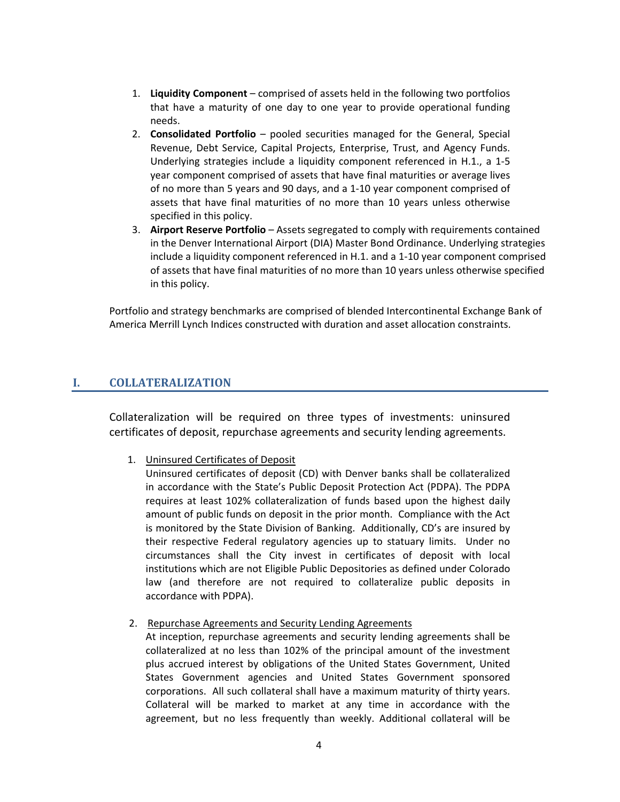- 1. **Liquidity Component** comprised of assets held in the following two portfolios that have a maturity of one day to one year to provide operational funding needs.
- 2. **Consolidated Portfolio** pooled securities managed for the General, Special Revenue, Debt Service, Capital Projects, Enterprise, Trust, and Agency Funds. Underlying strategies include a liquidity component referenced in H.1., a 1-5 year component comprised of assets that have final maturities or average lives of no more than 5 years and 90 days, and a 1-10 year component comprised of assets that have final maturities of no more than 10 years unless otherwise specified in this policy.
- 3. **Airport Reserve Portfolio** Assets segregated to comply with requirements contained in the Denver International Airport (DIA) Master Bond Ordinance. Underlying strategies include a liquidity component referenced in H.1. and a 1-10 year component comprised of assets that have final maturities of no more than 10 years unless otherwise specified in this policy.

Portfolio and strategy benchmarks are comprised of blended Intercontinental Exchange Bank of America Merrill Lynch Indices constructed with duration and asset allocation constraints.

# <span id="page-6-0"></span>**I. COLLATERALIZATION**

Collateralization will be required on three types of investments: uninsured certificates of deposit, repurchase agreements and security lending agreements.

1. Uninsured Certificates of Deposit

Uninsured certificates of deposit (CD) with Denver banks shall be collateralized in accordance with the State's Public Deposit Protection Act (PDPA). The PDPA requires at least 102% collateralization of funds based upon the highest daily amount of public funds on deposit in the prior month. Compliance with the Act is monitored by the State Division of Banking. Additionally, CD's are insured by their respective Federal regulatory agencies up to statuary limits. Under no circumstances shall the City invest in certificates of deposit with local institutions which are not Eligible Public Depositories as defined under Colorado law (and therefore are not required to collateralize public deposits in accordance with PDPA).

2. Repurchase Agreements and Security Lending Agreements

At inception, repurchase agreements and security lending agreements shall be collateralized at no less than 102% of the principal amount of the investment plus accrued interest by obligations of the United States Government, United States Government agencies and United States Government sponsored corporations. All such collateral shall have a maximum maturity of thirty years. Collateral will be marked to market at any time in accordance with the agreement, but no less frequently than weekly. Additional collateral will be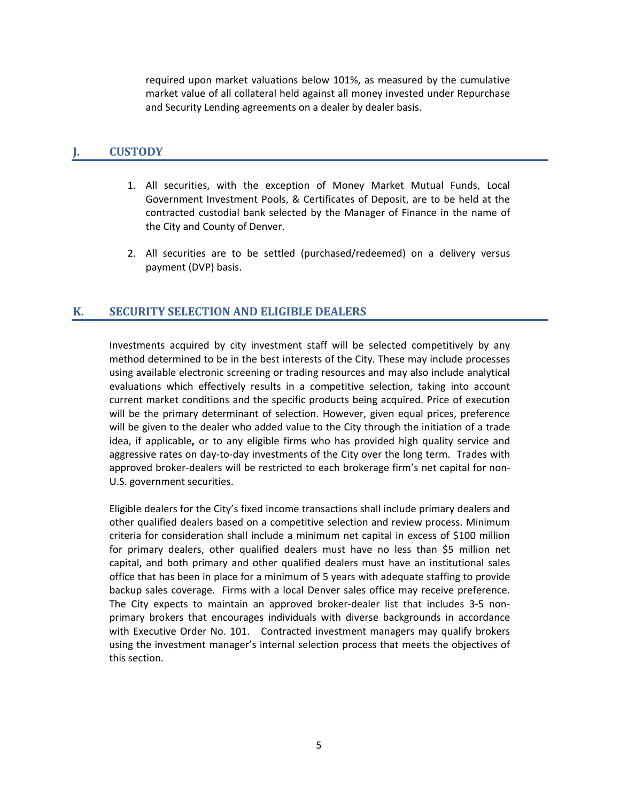required upon market valuations below 101%, as measured by the cumulative market value of all collateral held against all money invested under Repurchase and Security Lending agreements on a dealer by dealer basis.

#### <span id="page-7-0"></span>**J. CUSTODY**

- 1. All securities, with the exception of Money Market Mutual Funds, Local Government Investment Pools, & Certificates of Deposit, are to be held at the contracted custodial bank selected by the Manager of Finance in the name of the City and County of Denver.
- 2. All securities are to be settled (purchased/redeemed) on a delivery versus payment (DVP) basis.

# <span id="page-7-1"></span>**K. SECURITY SELECTION AND ELIGIBLE DEALERS**

Investments acquired by city investment staff will be selected competitively by any method determined to be in the best interests of the City. These may include processes using available electronic screening or trading resources and may also include analytical evaluations which effectively results in a competitive selection, taking into account current market conditions and the specific products being acquired. Price of execution will be the primary determinant of selection. However, given equal prices, preference will be given to the dealer who added value to the City through the initiation of a trade idea, if applicable**,** or to any eligible firms who has provided high quality service and aggressive rates on day-to-day investments of the City over the long term. Trades with approved broker-dealers will be restricted to each brokerage firm's net capital for non-U.S. government securities.

Eligible dealers for the City's fixed income transactions shall include primary dealers and other qualified dealers based on a competitive selection and review process. Minimum criteria for consideration shall include a minimum net capital in excess of \$100 million for primary dealers, other qualified dealers must have no less than \$5 million net capital, and both primary and other qualified dealers must have an institutional sales office that has been in place for a minimum of 5 years with adequate staffing to provide backup sales coverage. Firms with a local Denver sales office may receive preference. The City expects to maintain an approved broker-dealer list that includes 3-5 nonprimary brokers that encourages individuals with diverse backgrounds in accordance with Executive Order No. 101. Contracted investment managers may qualify brokers using the investment manager's internal selection process that meets the objectives of this section.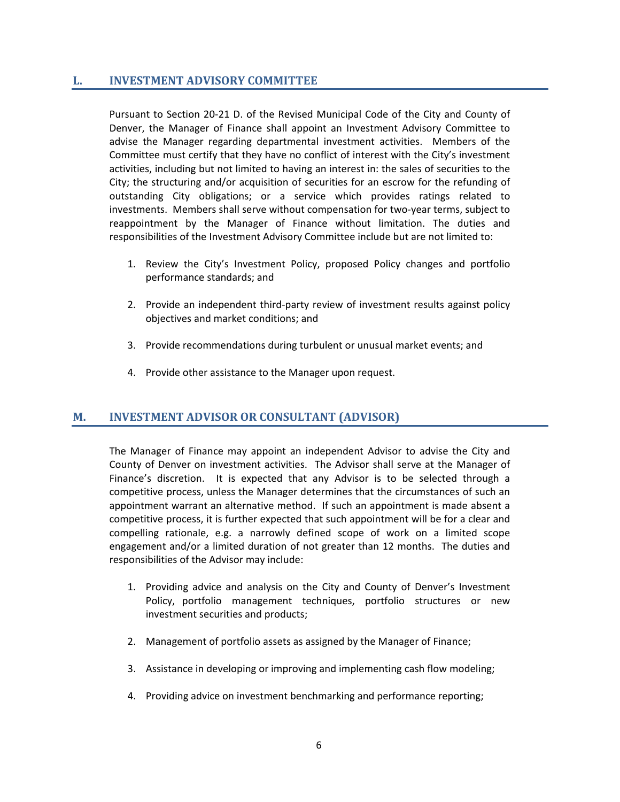#### <span id="page-8-0"></span>**L. INVESTMENT ADVISORY COMMITTEE**

Pursuant to Section 20-21 D. of the Revised Municipal Code of the City and County of Denver, the Manager of Finance shall appoint an Investment Advisory Committee to advise the Manager regarding departmental investment activities. Members of the Committee must certify that they have no conflict of interest with the City's investment activities, including but not limited to having an interest in: the sales of securities to the City; the structuring and/or acquisition of securities for an escrow for the refunding of outstanding City obligations; or a service which provides ratings related to investments. Members shall serve without compensation for two-year terms, subject to reappointment by the Manager of Finance without limitation. The duties and responsibilities of the Investment Advisory Committee include but are not limited to:

- 1. Review the City's Investment Policy, proposed Policy changes and portfolio performance standards; and
- 2. Provide an independent third-party review of investment results against policy objectives and market conditions; and
- 3. Provide recommendations during turbulent or unusual market events; and
- 4. Provide other assistance to the Manager upon request.

#### <span id="page-8-1"></span>**M. INVESTMENT ADVISOR OR CONSULTANT (ADVISOR)**

The Manager of Finance may appoint an independent Advisor to advise the City and County of Denver on investment activities. The Advisor shall serve at the Manager of Finance's discretion. It is expected that any Advisor is to be selected through a competitive process, unless the Manager determines that the circumstances of such an appointment warrant an alternative method. If such an appointment is made absent a competitive process, it is further expected that such appointment will be for a clear and compelling rationale, e.g. a narrowly defined scope of work on a limited scope engagement and/or a limited duration of not greater than 12 months. The duties and responsibilities of the Advisor may include:

- 1. Providing advice and analysis on the City and County of Denver's Investment Policy, portfolio management techniques, portfolio structures or new investment securities and products;
- 2. Management of portfolio assets as assigned by the Manager of Finance;
- 3. Assistance in developing or improving and implementing cash flow modeling;
- 4. Providing advice on investment benchmarking and performance reporting;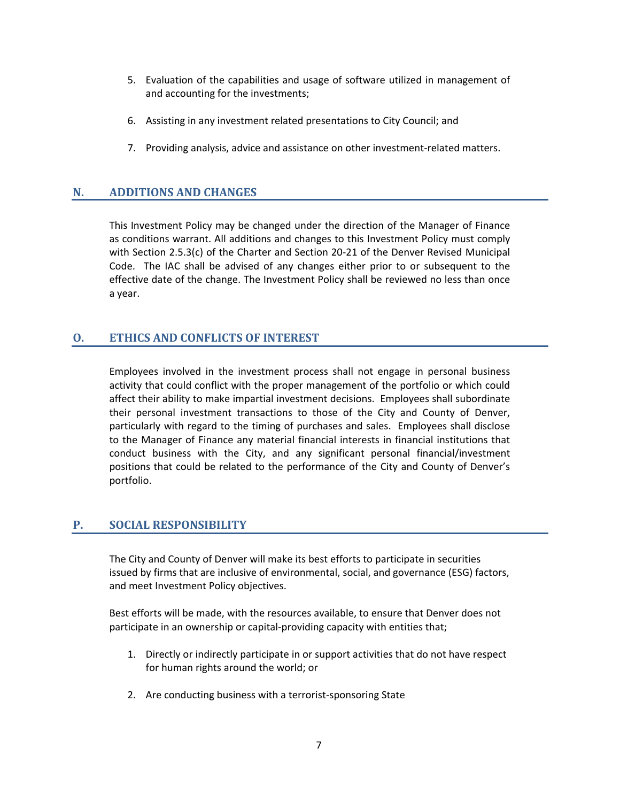- 5. Evaluation of the capabilities and usage of software utilized in management of and accounting for the investments;
- 6. Assisting in any investment related presentations to City Council; and
- 7. Providing analysis, advice and assistance on other investment-related matters.

# <span id="page-9-0"></span>**N. ADDITIONS AND CHANGES**

This Investment Policy may be changed under the direction of the Manager of Finance as conditions warrant. All additions and changes to this Investment Policy must comply with Section 2.5.3(c) of the Charter and Section 20-21 of the Denver Revised Municipal Code. The IAC shall be advised of any changes either prior to or subsequent to the effective date of the change. The Investment Policy shall be reviewed no less than once a year.

# <span id="page-9-1"></span>**O. ETHICS AND CONFLICTS OF INTEREST**

Employees involved in the investment process shall not engage in personal business activity that could conflict with the proper management of the portfolio or which could affect their ability to make impartial investment decisions. Employees shall subordinate their personal investment transactions to those of the City and County of Denver, particularly with regard to the timing of purchases and sales. Employees shall disclose to the Manager of Finance any material financial interests in financial institutions that conduct business with the City, and any significant personal financial/investment positions that could be related to the performance of the City and County of Denver's portfolio.

# <span id="page-9-2"></span>**P. SOCIAL RESPONSIBILITY**

The City and County of Denver will make its best efforts to participate in securities issued by firms that are inclusive of environmental, social, and governance (ESG) factors, and meet Investment Policy objectives.

Best efforts will be made, with the resources available, to ensure that Denver does not participate in an ownership or capital-providing capacity with entities that;

- 1. Directly or indirectly participate in or support activities that do not have respect for human rights around the world; or
- 2. Are conducting business with a terrorist-sponsoring State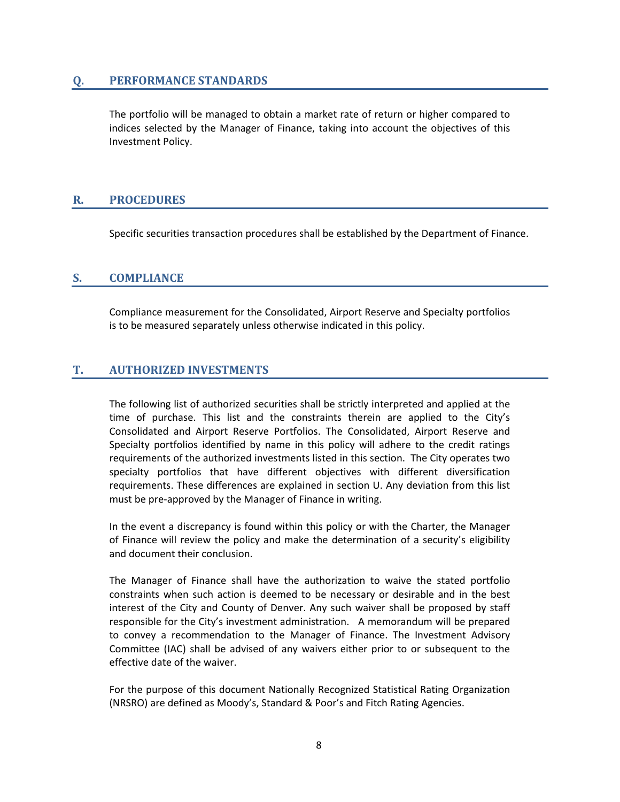#### <span id="page-10-0"></span>**Q. PERFORMANCE STANDARDS**

<span id="page-10-1"></span>The portfolio will be managed to obtain a market rate of return or higher compared to indices selected by the Manager of Finance, taking into account the objectives of this Investment Policy.

#### **R. PROCEDURES**

Specific securities transaction procedures shall be established by the Department of Finance.

# **S. COMPLIANCE**

Compliance measurement for the Consolidated, Airport Reserve and Specialty portfolios is to be measured separately unless otherwise indicated in this policy.

# <span id="page-10-2"></span>**T. AUTHORIZED INVESTMENTS**

The following list of authorized securities shall be strictly interpreted and applied at the time of purchase. This list and the constraints therein are applied to the City's Consolidated and Airport Reserve Portfolios. The Consolidated, Airport Reserve and Specialty portfolios identified by name in this policy will adhere to the credit ratings requirements of the authorized investments listed in this section. The City operates two specialty portfolios that have different objectives with different diversification requirements. These differences are explained in section U. Any deviation from this list must be pre-approved by the Manager of Finance in writing.

In the event a discrepancy is found within this policy or with the Charter, the Manager of Finance will review the policy and make the determination of a security's eligibility and document their conclusion.

The Manager of Finance shall have the authorization to waive the stated portfolio constraints when such action is deemed to be necessary or desirable and in the best interest of the City and County of Denver. Any such waiver shall be proposed by staff responsible for the City's investment administration. A memorandum will be prepared to convey a recommendation to the Manager of Finance. The Investment Advisory Committee (IAC) shall be advised of any waivers either prior to or subsequent to the effective date of the waiver.

For the purpose of this document Nationally Recognized Statistical Rating Organization (NRSRO) are defined as Moody's, Standard & Poor's and Fitch Rating Agencies.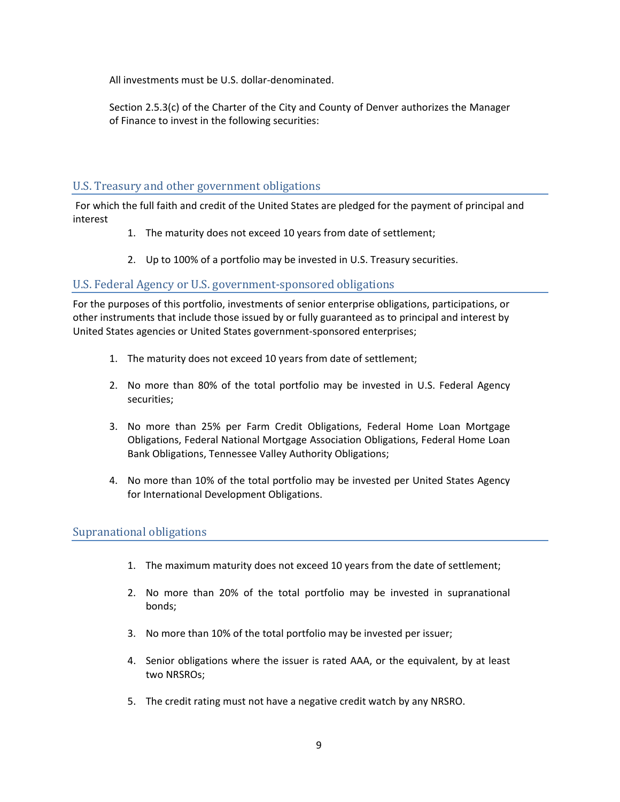All investments must be U.S. dollar-denominated.

Section 2.5.3(c) of the Charter of the City and County of Denver authorizes the Manager of Finance to invest in the following securities:

# <span id="page-11-0"></span>U.S. Treasury and other government obligations

For which the full faith and credit of the United States are pledged for the payment of principal and interest

- 1. The maturity does not exceed 10 years from date of settlement;
- 2. Up to 100% of a portfolio may be invested in U.S. Treasury securities.

# <span id="page-11-1"></span>U.S. Federal Agency or U.S. government-sponsored obligations

For the purposes of this portfolio, investments of senior enterprise obligations, participations, or other instruments that include those issued by or fully guaranteed as to principal and interest by United States agencies or United States government-sponsored enterprises;

- 1. The maturity does not exceed 10 years from date of settlement;
- 2. No more than 80% of the total portfolio may be invested in U.S. Federal Agency securities;
- 3. No more than 25% per Farm Credit Obligations, Federal Home Loan Mortgage Obligations, Federal National Mortgage Association Obligations, Federal Home Loan Bank Obligations, Tennessee Valley Authority Obligations;
- 4. No more than 10% of the total portfolio may be invested per United States Agency for International Development Obligations.

# <span id="page-11-2"></span>Supranational obligations

- 1. The maximum maturity does not exceed 10 years from the date of settlement;
- 2. No more than 20% of the total portfolio may be invested in supranational bonds;
- 3. No more than 10% of the total portfolio may be invested per issuer;
- 4. Senior obligations where the issuer is rated AAA, or the equivalent, by at least two NRSROs;
- 5. The credit rating must not have a negative credit watch by any NRSRO.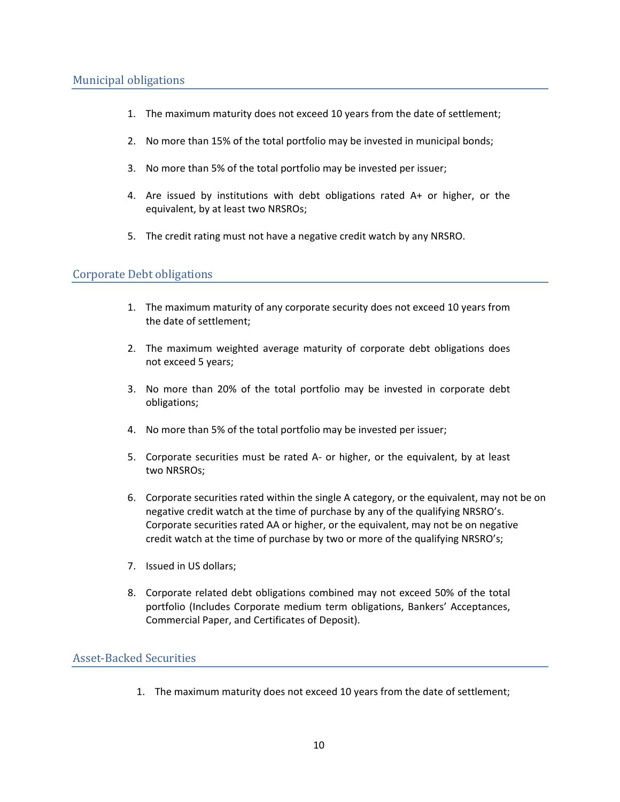- <span id="page-12-0"></span>1. The maximum maturity does not exceed 10 years from the date of settlement;
- 2. No more than 15% of the total portfolio may be invested in municipal bonds;
- 3. No more than 5% of the total portfolio may be invested per issuer;
- 4. Are issued by institutions with debt obligations rated A+ or higher, or the equivalent, by at least two NRSROs;
- 5. The credit rating must not have a negative credit watch by any NRSRO.

#### <span id="page-12-1"></span>Corporate Debt obligations

- 1. The maximum maturity of any corporate security does not exceed 10 years from the date of settlement;
- 2. The maximum weighted average maturity of corporate debt obligations does not exceed 5 years;
- 3. No more than 20% of the total portfolio may be invested in corporate debt obligations;
- 4. No more than 5% of the total portfolio may be invested per issuer;
- 5. Corporate securities must be rated A- or higher, or the equivalent, by at least two NRSROs;
- 6. Corporate securities rated within the single A category, or the equivalent, may not be on negative credit watch at the time of purchase by any of the qualifying NRSRO's. Corporate securities rated AA or higher, or the equivalent, may not be on negative credit watch at the time of purchase by two or more of the qualifying NRSRO's;
- 7. Issued in US dollars;
- 8. Corporate related debt obligations combined may not exceed 50% of the total portfolio (Includes Corporate medium term obligations, Bankers' Acceptances, Commercial Paper, and Certificates of Deposit).

#### <span id="page-12-2"></span>Asset-Backed Securities

1. The maximum maturity does not exceed 10 years from the date of settlement;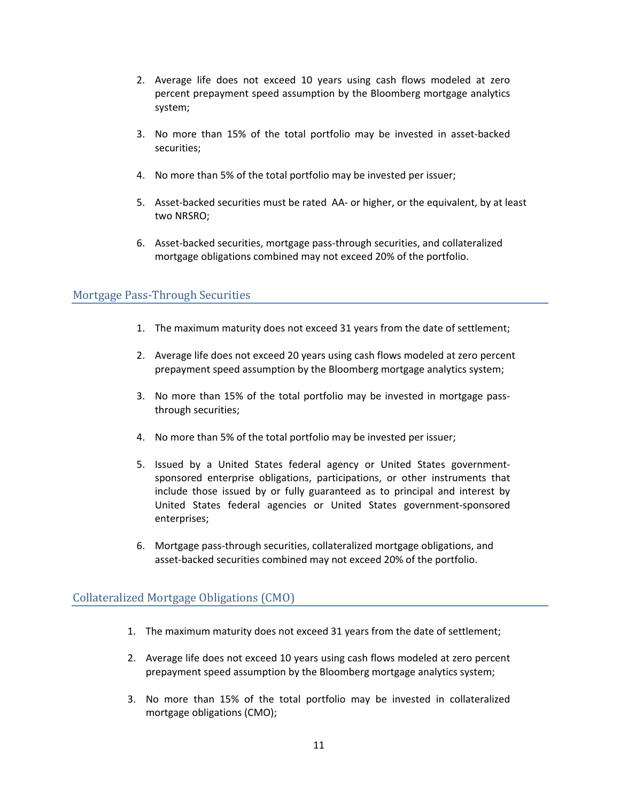- 2. Average life does not exceed 10 years using cash flows modeled at zero percent prepayment speed assumption by the Bloomberg mortgage analytics system;
- 3. No more than 15% of the total portfolio may be invested in asset-backed securities;
- 4. No more than 5% of the total portfolio may be invested per issuer;
- 5. Asset-backed securities must be rated AA- or higher, or the equivalent, by at least two NRSRO;
- 6. Asset-backed securities, mortgage pass-through securities, and collateralized mortgage obligations combined may not exceed 20% of the portfolio.

# <span id="page-13-0"></span>Mortgage Pass-Through Securities

- 1. The maximum maturity does not exceed 31 years from the date of settlement;
- 2. Average life does not exceed 20 years using cash flows modeled at zero percent prepayment speed assumption by the Bloomberg mortgage analytics system;
- 3. No more than 15% of the total portfolio may be invested in mortgage passthrough securities;
- 4. No more than 5% of the total portfolio may be invested per issuer;
- 5. Issued by a United States federal agency or United States governmentsponsored enterprise obligations, participations, or other instruments that include those issued by or fully guaranteed as to principal and interest by United States federal agencies or United States government-sponsored enterprises;
- 6. Mortgage pass-through securities, collateralized mortgage obligations, and asset-backed securities combined may not exceed 20% of the portfolio.

# <span id="page-13-1"></span>Collateralized Mortgage Obligations (CMO)

- 1. The maximum maturity does not exceed 31 years from the date of settlement;
- 2. Average life does not exceed 10 years using cash flows modeled at zero percent prepayment speed assumption by the Bloomberg mortgage analytics system;
- 3. No more than 15% of the total portfolio may be invested in collateralized mortgage obligations (CMO);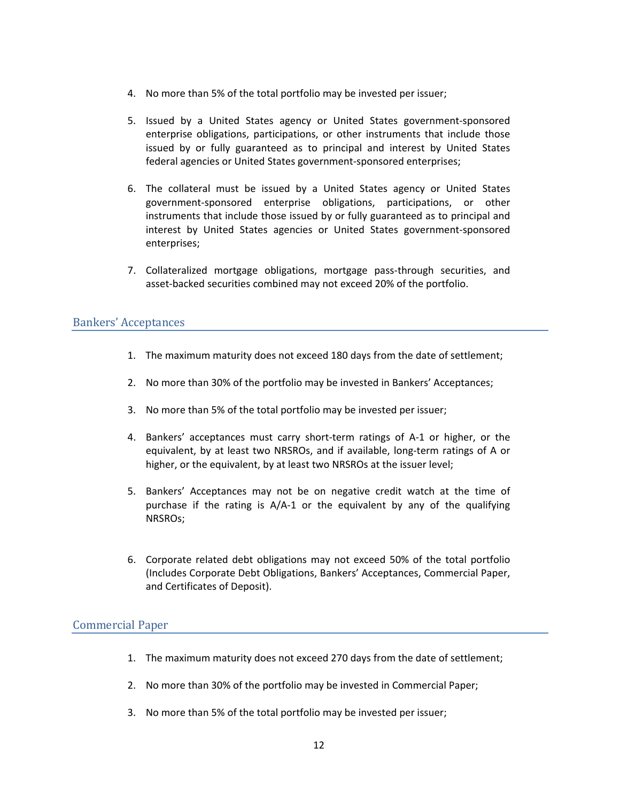- 4. No more than 5% of the total portfolio may be invested per issuer;
- 5. Issued by a United States agency or United States government-sponsored enterprise obligations, participations, or other instruments that include those issued by or fully guaranteed as to principal and interest by United States federal agencies or United States government-sponsored enterprises;
- 6. The collateral must be issued by a United States agency or United States government-sponsored enterprise obligations, participations, or other instruments that include those issued by or fully guaranteed as to principal and interest by United States agencies or United States government-sponsored enterprises;
- 7. Collateralized mortgage obligations, mortgage pass-through securities, and asset-backed securities combined may not exceed 20% of the portfolio.

#### <span id="page-14-0"></span>Bankers' Acceptances

- 1. The maximum maturity does not exceed 180 days from the date of settlement;
- 2. No more than 30% of the portfolio may be invested in Bankers' Acceptances;
- 3. No more than 5% of the total portfolio may be invested per issuer;
- 4. Bankers' acceptances must carry short-term ratings of A-1 or higher, or the equivalent, by at least two NRSROs, and if available, long-term ratings of A or higher, or the equivalent, by at least two NRSROs at the issuer level;
- 5. Bankers' Acceptances may not be on negative credit watch at the time of purchase if the rating is  $A/A-1$  or the equivalent by any of the qualifying NRSROs;
- 6. Corporate related debt obligations may not exceed 50% of the total portfolio (Includes Corporate Debt Obligations, Bankers' Acceptances, Commercial Paper, and Certificates of Deposit).

#### <span id="page-14-1"></span>Commercial Paper

- 1. The maximum maturity does not exceed 270 days from the date of settlement;
- 2. No more than 30% of the portfolio may be invested in Commercial Paper;
- 3. No more than 5% of the total portfolio may be invested per issuer;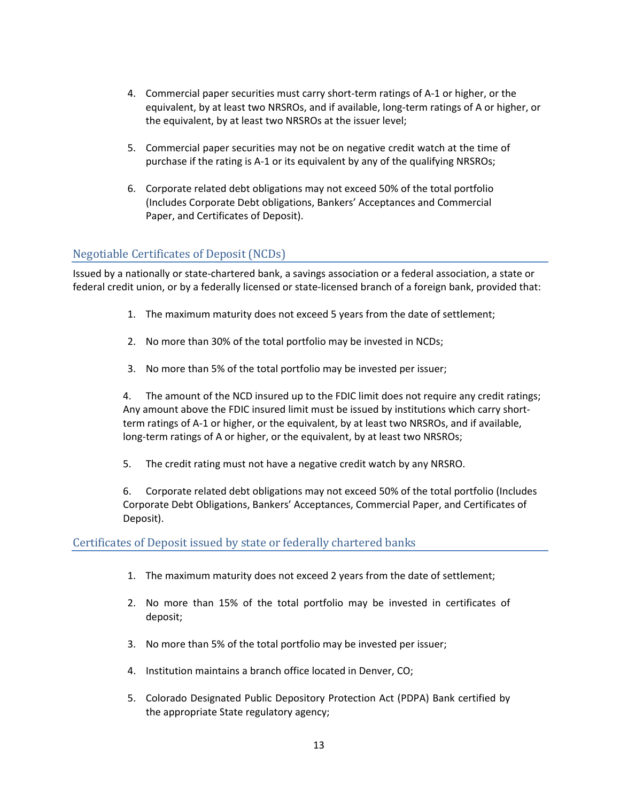- 4. Commercial paper securities must carry short-term ratings of A-1 or higher, or the equivalent, by at least two NRSROs, and if available, long-term ratings of A or higher, or the equivalent, by at least two NRSROs at the issuer level;
- 5. Commercial paper securities may not be on negative credit watch at the time of purchase if the rating is A-1 or its equivalent by any of the qualifying NRSROs;
- 6. Corporate related debt obligations may not exceed 50% of the total portfolio (Includes Corporate Debt obligations, Bankers' Acceptances and Commercial Paper, and Certificates of Deposit).

# Negotiable Certificates of Deposit (NCDs)

Issued by a nationally or state-chartered bank, a savings association or a federal association, a state or federal credit union, or by a federally licensed or state-licensed branch of a foreign bank, provided that:

- 1. The maximum maturity does not exceed 5 years from the date of settlement;
- 2. No more than 30% of the total portfolio may be invested in NCDs;
- 3. No more than 5% of the total portfolio may be invested per issuer;

4. The amount of the NCD insured up to the FDIC limit does not require any credit ratings; Any amount above the FDIC insured limit must be issued by institutions which carry shortterm ratings of A-1 or higher, or the equivalent, by at least two NRSROs, and if available, long-term ratings of A or higher, or the equivalent, by at least two NRSROs;

5. The credit rating must not have a negative credit watch by any NRSRO.

6. Corporate related debt obligations may not exceed 50% of the total portfolio (Includes Corporate Debt Obligations, Bankers' Acceptances, Commercial Paper, and Certificates of Deposit).

# <span id="page-15-0"></span>Certificates of Deposit issued by state or federally chartered banks

- 1. The maximum maturity does not exceed 2 years from the date of settlement;
- 2. No more than 15% of the total portfolio may be invested in certificates of deposit;
- 3. No more than 5% of the total portfolio may be invested per issuer;
- 4. Institution maintains a branch office located in Denver, CO;
- 5. Colorado Designated Public Depository Protection Act (PDPA) Bank certified by the appropriate State regulatory agency;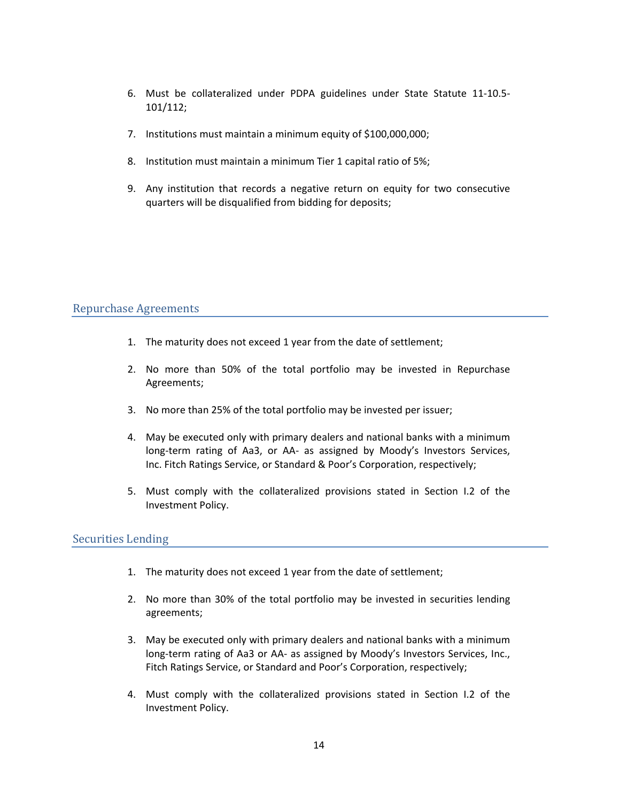- 6. Must be collateralized under PDPA guidelines under State Statute 11-10.5- 101/112;
- 7. Institutions must maintain a minimum equity of \$100,000,000;
- 8. Institution must maintain a minimum Tier 1 capital ratio of 5%;
- 9. Any institution that records a negative return on equity for two consecutive quarters will be disqualified from bidding for deposits;

#### <span id="page-16-0"></span>Repurchase Agreements

- 1. The maturity does not exceed 1 year from the date of settlement;
- 2. No more than 50% of the total portfolio may be invested in Repurchase Agreements;
- 3. No more than 25% of the total portfolio may be invested per issuer;
- 4. May be executed only with primary dealers and national banks with a minimum long-term rating of Aa3, or AA- as assigned by Moody's Investors Services, Inc. Fitch Ratings Service, or Standard & Poor's Corporation, respectively;
- 5. Must comply with the collateralized provisions stated in Section I.2 of the Investment Policy.

#### <span id="page-16-1"></span>Securities Lending

- 1. The maturity does not exceed 1 year from the date of settlement;
- 2. No more than 30% of the total portfolio may be invested in securities lending agreements;
- 3. May be executed only with primary dealers and national banks with a minimum long-term rating of Aa3 or AA- as assigned by Moody's Investors Services, Inc., Fitch Ratings Service, or Standard and Poor's Corporation, respectively;
- 4. Must comply with the collateralized provisions stated in Section I.2 of the Investment Policy.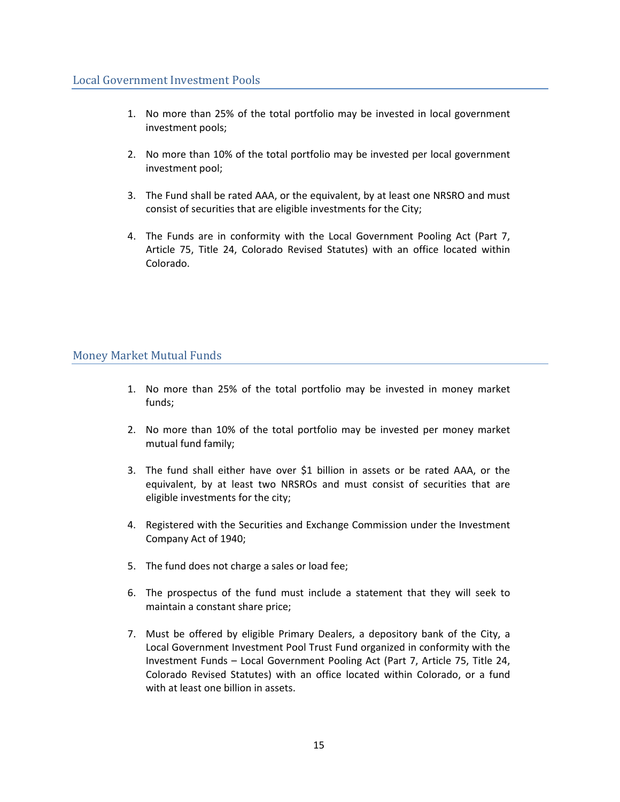- <span id="page-17-0"></span>1. No more than 25% of the total portfolio may be invested in local government investment pools;
- 2. No more than 10% of the total portfolio may be invested per local government investment pool;
- 3. The Fund shall be rated AAA, or the equivalent, by at least one NRSRO and must consist of securities that are eligible investments for the City;
- 4. The Funds are in conformity with the Local Government Pooling Act (Part 7, Article 75, Title 24, Colorado Revised Statutes) with an office located within Colorado.

# <span id="page-17-1"></span>Money Market Mutual Funds

- 1. No more than 25% of the total portfolio may be invested in money market funds;
- 2. No more than 10% of the total portfolio may be invested per money market mutual fund family;
- 3. The fund shall either have over \$1 billion in assets or be rated AAA, or the equivalent, by at least two NRSROs and must consist of securities that are eligible investments for the city;
- 4. Registered with the Securities and Exchange Commission under the Investment Company Act of 1940;
- 5. The fund does not charge a sales or load fee;
- 6. The prospectus of the fund must include a statement that they will seek to maintain a constant share price;
- 7. Must be offered by eligible Primary Dealers, a depository bank of the City, a Local Government Investment Pool Trust Fund organized in conformity with the Investment Funds – Local Government Pooling Act (Part 7, Article 75, Title 24, Colorado Revised Statutes) with an office located within Colorado, or a fund with at least one billion in assets.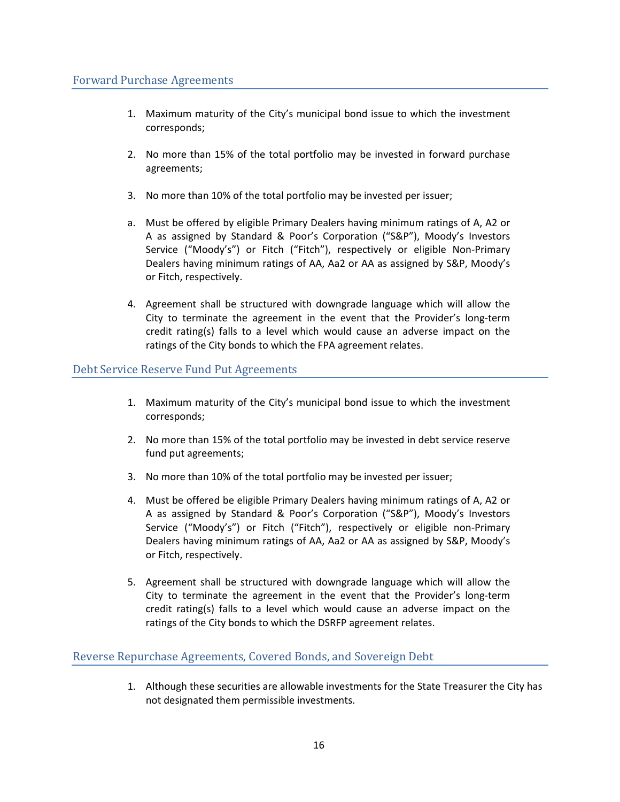- <span id="page-18-0"></span>1. Maximum maturity of the City's municipal bond issue to which the investment corresponds;
- 2. No more than 15% of the total portfolio may be invested in forward purchase agreements;
- 3. No more than 10% of the total portfolio may be invested per issuer;
- a. Must be offered by eligible Primary Dealers having minimum ratings of A, A2 or A as assigned by Standard & Poor's Corporation ("S&P"), Moody's Investors Service ("Moody's") or Fitch ("Fitch"), respectively or eligible Non-Primary Dealers having minimum ratings of AA, Aa2 or AA as assigned by S&P, Moody's or Fitch, respectively.
- 4. Agreement shall be structured with downgrade language which will allow the City to terminate the agreement in the event that the Provider's long-term credit rating(s) falls to a level which would cause an adverse impact on the ratings of the City bonds to which the FPA agreement relates.

# <span id="page-18-1"></span>Debt Service Reserve Fund Put Agreements

- 1. Maximum maturity of the City's municipal bond issue to which the investment corresponds;
- 2. No more than 15% of the total portfolio may be invested in debt service reserve fund put agreements;
- 3. No more than 10% of the total portfolio may be invested per issuer;
- 4. Must be offered be eligible Primary Dealers having minimum ratings of A, A2 or A as assigned by Standard & Poor's Corporation ("S&P"), Moody's Investors Service ("Moody's") or Fitch ("Fitch"), respectively or eligible non-Primary Dealers having minimum ratings of AA, Aa2 or AA as assigned by S&P, Moody's or Fitch, respectively.
- 5. Agreement shall be structured with downgrade language which will allow the City to terminate the agreement in the event that the Provider's long-term credit rating(s) falls to a level which would cause an adverse impact on the ratings of the City bonds to which the DSRFP agreement relates.

# <span id="page-18-2"></span>Reverse Repurchase Agreements, Covered Bonds, and Sovereign Debt

1. Although these securities are allowable investments for the State Treasurer the City has not designated them permissible investments.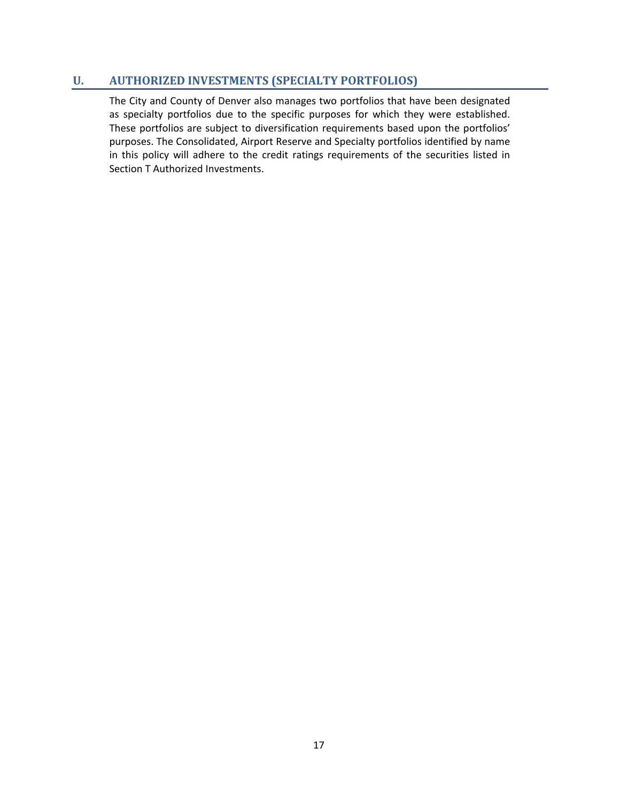# **U. AUTHORIZED INVESTMENTS (SPECIALTY PORTFOLIOS)**

The City and County of Denver also manages two portfolios that have been designated as specialty portfolios due to the specific purposes for which they were established. These portfolios are subject to diversification requirements based upon the portfolios' purposes. The Consolidated, Airport Reserve and Specialty portfolios identified by name in this policy will adhere to the credit ratings requirements of the securities listed in Section T Authorized Investments.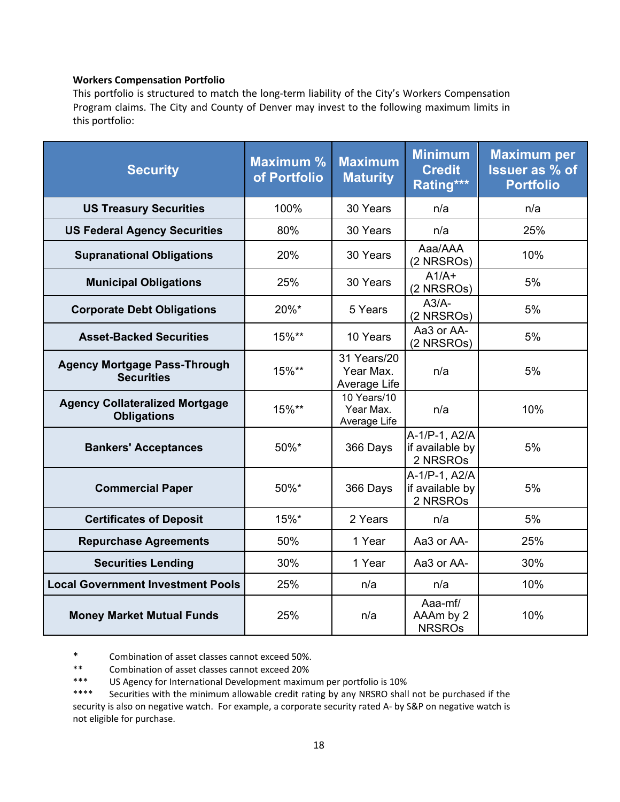#### **Workers Compensation Portfolio**

This portfolio is structured to match the long-term liability of the City's Workers Compensation Program claims. The City and County of Denver may invest to the following maximum limits in this portfolio:

| <b>Security</b>                                             | <b>Maximum %</b><br>of Portfolio | <b>Maximum</b><br><b>Maturity</b>        | <b>Minimum</b><br><b>Credit</b><br>Rating*** | <b>Maximum per</b><br><b>Issuer as % of</b><br><b>Portfolio</b> |
|-------------------------------------------------------------|----------------------------------|------------------------------------------|----------------------------------------------|-----------------------------------------------------------------|
| <b>US Treasury Securities</b>                               | 100%                             | 30 Years                                 | n/a                                          | n/a                                                             |
| <b>US Federal Agency Securities</b>                         | 80%                              | 30 Years                                 | n/a                                          | 25%                                                             |
| <b>Supranational Obligations</b>                            | 20%                              | 30 Years                                 | Aaa/AAA<br>(2 NRSROs)                        | 10%                                                             |
| <b>Municipal Obligations</b>                                | 25%                              | 30 Years                                 | $A1/A+$<br>(2 NRSROs)                        | 5%                                                              |
| <b>Corporate Debt Obligations</b>                           | 20%*                             | 5 Years                                  | $A3/A-$<br>(2 NRSROs)                        | 5%                                                              |
| <b>Asset-Backed Securities</b>                              | 15%**                            | 10 Years                                 | Aa3 or AA-<br>(2 NRSROs)                     | 5%                                                              |
| <b>Agency Mortgage Pass-Through</b><br><b>Securities</b>    | 15%**                            | 31 Years/20<br>Year Max.<br>Average Life | n/a                                          | 5%                                                              |
| <b>Agency Collateralized Mortgage</b><br><b>Obligations</b> | 15%**                            | 10 Years/10<br>Year Max.<br>Average Life | n/a                                          | 10%                                                             |
| <b>Bankers' Acceptances</b>                                 | 50%*                             | 366 Days                                 | A-1/P-1, A2/A<br>if available by<br>2 NRSROs | 5%                                                              |
| <b>Commercial Paper</b>                                     | 50%*                             | 366 Days                                 | A-1/P-1, A2/A<br>if available by<br>2 NRSROs | 5%                                                              |
| <b>Certificates of Deposit</b>                              | 15%*                             | 2 Years                                  | n/a                                          | 5%                                                              |
| <b>Repurchase Agreements</b>                                | 50%                              | 1 Year                                   | Aa3 or AA-                                   | 25%                                                             |
| <b>Securities Lending</b>                                   | 30%                              | 1 Year                                   | Aa3 or AA-                                   | 30%                                                             |
| <b>Local Government Investment Pools</b>                    | 25%                              | n/a                                      | n/a                                          | 10%                                                             |
| <b>Money Market Mutual Funds</b>                            | 25%                              | n/a                                      | Aaa-mf/<br>AAAm by 2<br><b>NRSROs</b>        | 10%                                                             |

\* Combination of asset classes cannot exceed 50%.

\*\* Combination of asset classes cannot exceed 20%<br>\*\*\* IS Agency for International Development maximi

\*\*\* US Agency for International Development maximum per portfolio is 10%<br>\*\*\*\* Securities with the minimum allowable credit rating by any NRSRO shall

Securities with the minimum allowable credit rating by any NRSRO shall not be purchased if the security is also on negative watch. For example, a corporate security rated A- by S&P on negative watch is not eligible for purchase.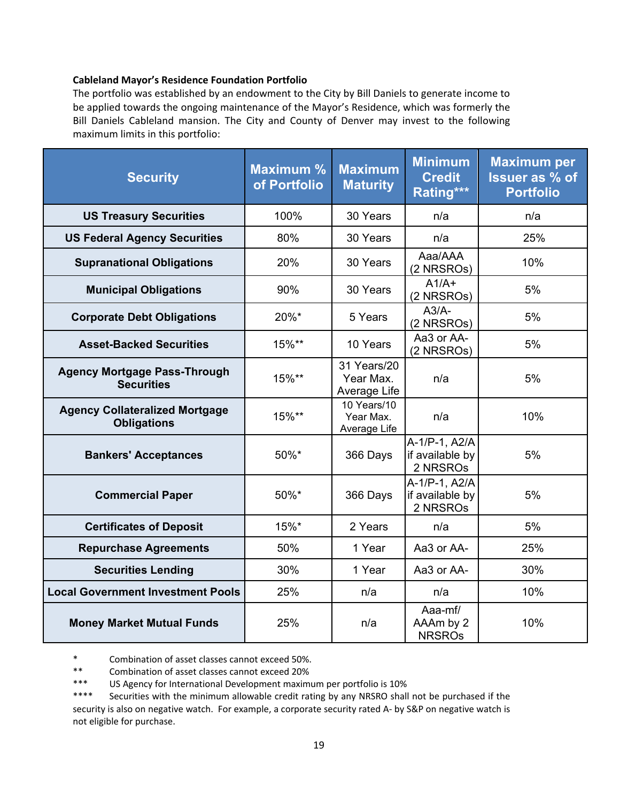#### **Cableland Mayor's Residence Foundation Portfolio**

The portfolio was established by an endowment to the City by Bill Daniels to generate income to be applied towards the ongoing maintenance of the Mayor's Residence, which was formerly the Bill Daniels Cableland mansion. The City and County of Denver may invest to the following maximum limits in this portfolio:

| <b>Security</b>                                             | <b>Maximum %</b><br>of Portfolio | <b>Maximum</b><br><b>Maturity</b>        | <b>Minimum</b><br><b>Credit</b><br>Rating*** | <b>Maximum per</b><br><b>Issuer as % of</b><br><b>Portfolio</b> |
|-------------------------------------------------------------|----------------------------------|------------------------------------------|----------------------------------------------|-----------------------------------------------------------------|
| <b>US Treasury Securities</b>                               | 100%                             | 30 Years                                 | n/a                                          | n/a                                                             |
| <b>US Federal Agency Securities</b>                         | 80%                              | 30 Years                                 | n/a                                          | 25%                                                             |
| <b>Supranational Obligations</b>                            | 20%                              | 30 Years                                 | Aaa/AAA<br>(2 NRSROs)                        | 10%                                                             |
| <b>Municipal Obligations</b>                                | 90%                              | 30 Years                                 | $A1/A+$<br>(2 NRSROs)                        | 5%                                                              |
| <b>Corporate Debt Obligations</b>                           | 20%*                             | 5 Years                                  | $A3/A-$<br>(2 NRSROs)                        | 5%                                                              |
| <b>Asset-Backed Securities</b>                              | 15%**                            | 10 Years                                 | Aa3 or AA-<br>(2 NRSROs)                     | 5%                                                              |
| <b>Agency Mortgage Pass-Through</b><br><b>Securities</b>    | 15%**                            | 31 Years/20<br>Year Max.<br>Average Life | n/a                                          | 5%                                                              |
| <b>Agency Collateralized Mortgage</b><br><b>Obligations</b> | 15%**                            | 10 Years/10<br>Year Max.<br>Average Life | n/a                                          | 10%                                                             |
| <b>Bankers' Acceptances</b>                                 | 50%*                             | 366 Days                                 | A-1/P-1, A2/A<br>if available by<br>2 NRSROs | 5%                                                              |
| <b>Commercial Paper</b>                                     | 50%*                             | 366 Days                                 | A-1/P-1, A2/A<br>if available by<br>2 NRSROs | 5%                                                              |
| <b>Certificates of Deposit</b>                              | 15%*                             | 2 Years                                  | n/a                                          | 5%                                                              |
| <b>Repurchase Agreements</b>                                | 50%                              | 1 Year                                   | Aa3 or AA-                                   | 25%                                                             |
| <b>Securities Lending</b>                                   | 30%                              | 1 Year                                   | Aa3 or AA-                                   | 30%                                                             |
| <b>Local Government Investment Pools</b>                    | 25%                              | n/a                                      | n/a                                          | 10%                                                             |
| <b>Money Market Mutual Funds</b>                            | 25%                              | n/a                                      | Aaa-mf/<br>AAAm by 2<br><b>NRSROs</b>        | 10%                                                             |

\* Combination of asset classes cannot exceed 50%.

\*\* Combination of asset classes cannot exceed 20%<br>\*\*\* IS Agency for International Development maximu

\*\*\* US Agency for International Development maximum per portfolio is 10%<br>\*\*\*\* Securities with the minimum allowable credit rating by any NRSRO shall

Securities with the minimum allowable credit rating by any NRSRO shall not be purchased if the security is also on negative watch. For example, a corporate security rated A- by S&P on negative watch is not eligible for purchase.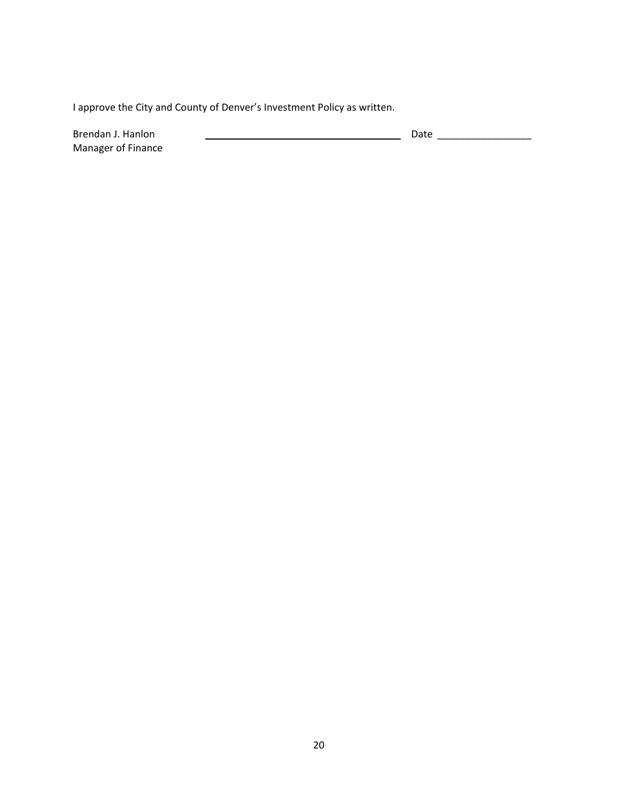I approve the City and County of Denver's Investment Policy as written.

Manager of Finance

Brendan J. Hanlon Date \_\_\_\_\_\_\_\_\_\_\_\_\_\_\_\_\_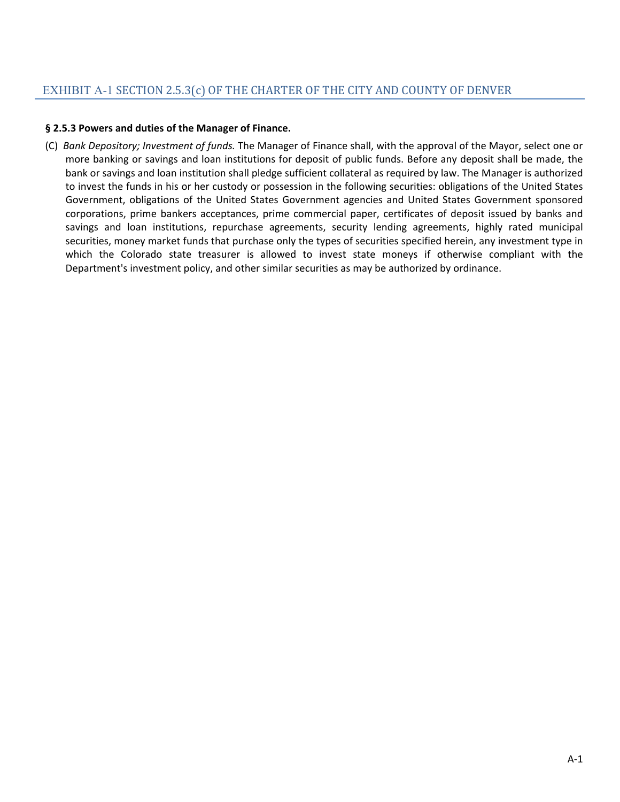#### <span id="page-23-0"></span>**§ 2.5.3 Powers and duties of the Manager of Finance.**

(C) *Bank Depository; Investment of funds.* The Manager of Finance shall, with the approval of the Mayor, select one or more banking or savings and loan institutions for deposit of public funds. Before any deposit shall be made, the bank or savings and loan institution shall pledge sufficient collateral as required by law. The Manager is authorized to invest the funds in his or her custody or possession in the following securities: obligations of the United States Government, obligations of the United States Government agencies and United States Government sponsored corporations, prime bankers acceptances, prime commercial paper, certificates of deposit issued by banks and savings and loan institutions, repurchase agreements, security lending agreements, highly rated municipal securities, money market funds that purchase only the types of securities specified herein, any investment type in which the Colorado state treasurer is allowed to invest state moneys if otherwise compliant with the Department's investment policy, and other similar securities as may be authorized by ordinance.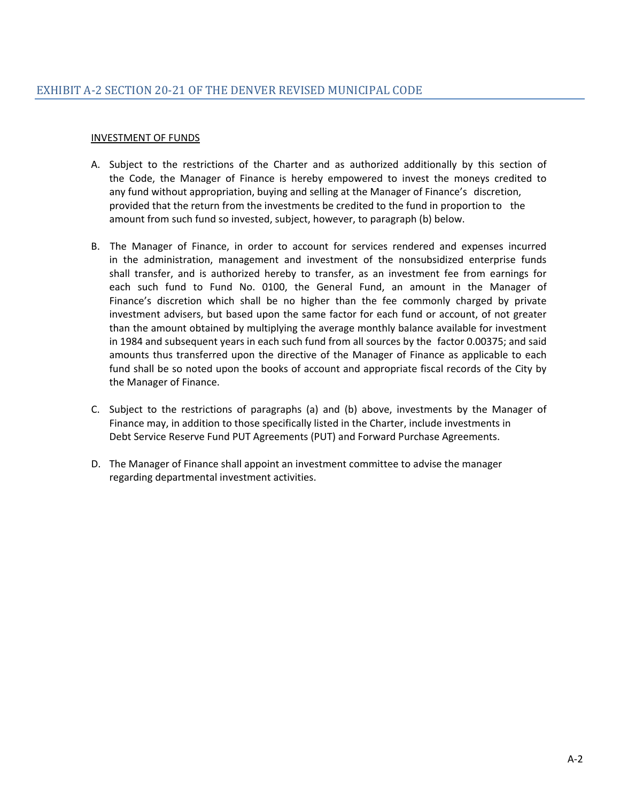# <span id="page-24-0"></span>INVESTMENT OF FUNDS

- A. Subject to the restrictions of the Charter and as authorized additionally by this section of the Code, the Manager of Finance is hereby empowered to invest the moneys credited to any fund without appropriation, buying and selling at the Manager of Finance's discretion, provided that the return from the investments be credited to the fund in proportion to the amount from such fund so invested, subject, however, to paragraph (b) below.
- B. The Manager of Finance, in order to account for services rendered and expenses incurred in the administration, management and investment of the nonsubsidized enterprise funds shall transfer, and is authorized hereby to transfer, as an investment fee from earnings for each such fund to Fund No. 0100, the General Fund, an amount in the Manager of Finance's discretion which shall be no higher than the fee commonly charged by private investment advisers, but based upon the same factor for each fund or account, of not greater than the amount obtained by multiplying the average monthly balance available for investment in 1984 and subsequent years in each such fund from all sources by the factor 0.00375; and said amounts thus transferred upon the directive of the Manager of Finance as applicable to each fund shall be so noted upon the books of account and appropriate fiscal records of the City by the Manager of Finance.
- C. Subject to the restrictions of paragraphs (a) and (b) above, investments by the Manager of Finance may, in addition to those specifically listed in the Charter, include investments in Debt Service Reserve Fund PUT Agreements (PUT) and Forward Purchase Agreements.
- D. The Manager of Finance shall appoint an investment committee to advise the manager regarding departmental investment activities.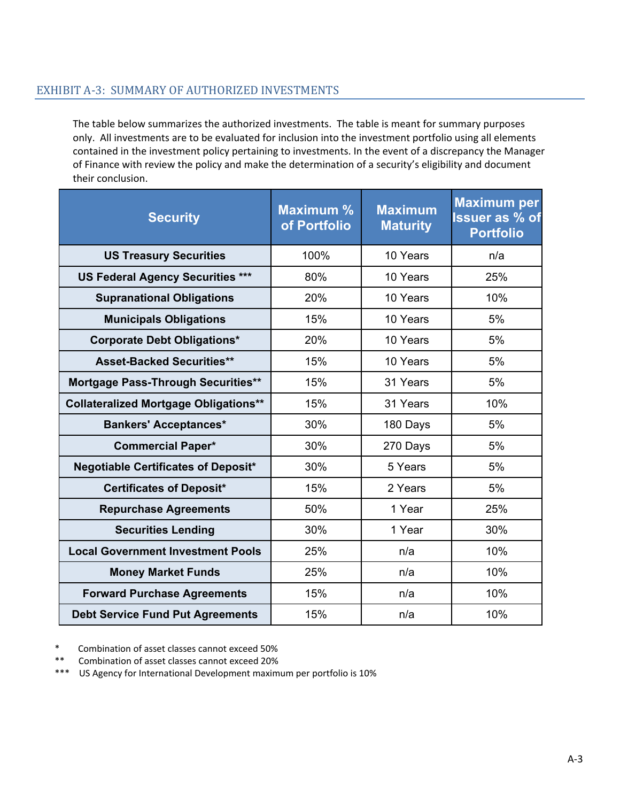# <span id="page-25-0"></span>EXHIBIT A-3: SUMMARY OF AUTHORIZED INVESTMENTS

The table below summarizes the authorized investments. The table is meant for summary purposes only. All investments are to be evaluated for inclusion into the investment portfolio using all elements contained in the investment policy pertaining to investments. In the event of a discrepancy the Manager of Finance with review the policy and make the determination of a security's eligibility and document their conclusion.

| <b>Security</b>                              | <b>Maximum %</b><br>of Portfolio | <b>Maximum</b><br><b>Maturity</b> | <b>Maximum per</b><br>Issuer as % of<br><b>Portfolio</b> |
|----------------------------------------------|----------------------------------|-----------------------------------|----------------------------------------------------------|
| <b>US Treasury Securities</b>                | 100%                             | 10 Years                          | n/a                                                      |
| <b>US Federal Agency Securities ***</b>      | 80%                              | 10 Years                          | 25%                                                      |
| <b>Supranational Obligations</b>             | 20%                              | 10 Years                          | 10%                                                      |
| <b>Municipals Obligations</b>                | 15%                              | 10 Years                          | 5%                                                       |
| <b>Corporate Debt Obligations*</b>           | 20%                              | 10 Years                          | 5%                                                       |
| <b>Asset-Backed Securities**</b>             | 15%                              | 10 Years                          | 5%                                                       |
| <b>Mortgage Pass-Through Securities**</b>    | 15%                              | 31 Years                          | 5%                                                       |
| <b>Collateralized Mortgage Obligations**</b> | 15%                              | 31 Years                          | 10%                                                      |
| <b>Bankers' Acceptances*</b>                 | 30%                              | 180 Days                          | 5%                                                       |
| <b>Commercial Paper*</b>                     | 30%                              | 270 Days                          | 5%                                                       |
| <b>Negotiable Certificates of Deposit*</b>   | 30%                              | 5 Years                           | 5%                                                       |
| <b>Certificates of Deposit*</b>              | 15%                              | 2 Years                           | 5%                                                       |
| <b>Repurchase Agreements</b>                 | 50%                              | 1 Year                            | 25%                                                      |
| <b>Securities Lending</b>                    | 30%                              | 1 Year                            | 30%                                                      |
| <b>Local Government Investment Pools</b>     | 25%                              | n/a                               | 10%                                                      |
| <b>Money Market Funds</b>                    | 25%                              | n/a                               | 10%                                                      |
| <b>Forward Purchase Agreements</b>           | 15%                              | n/a                               | 10%                                                      |
| <b>Debt Service Fund Put Agreements</b>      | 15%                              | n/a                               | 10%                                                      |

Combination of asset classes cannot exceed 50%

\*\* Combination of asset classes cannot exceed 20%

\*\*\* US Agency for International Development maximum per portfolio is 10%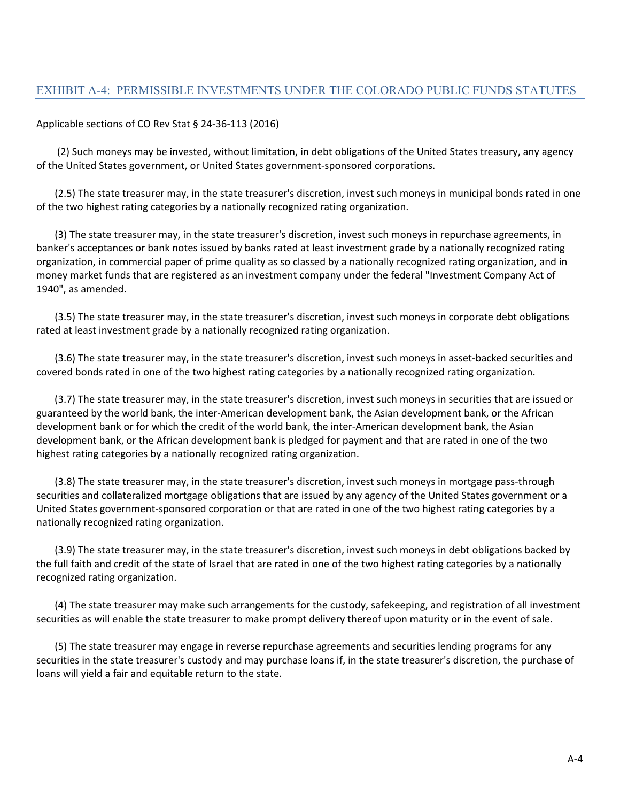#### Applicable sections of [CO Rev Stat § 24-36-113 \(2016\)](http://law.justia.com/citations.html)

(2) Such moneys may be invested, without limitation, in debt obligations of the United States treasury, any agency of the United States government, or United States government-sponsored corporations.

(2.5) The state treasurer may, in the state treasurer's discretion, invest such moneys in municipal bonds rated in one of the two highest rating categories by a nationally recognized rating organization.

(3) The state treasurer may, in the state treasurer's discretion, invest such moneys in repurchase agreements, in banker's acceptances or bank notes issued by banks rated at least investment grade by a nationally recognized rating organization, in commercial paper of prime quality as so classed by a nationally recognized rating organization, and in money market funds that are registered as an investment company under the federal "Investment Company Act of 1940", as amended.

(3.5) The state treasurer may, in the state treasurer's discretion, invest such moneys in corporate debt obligations rated at least investment grade by a nationally recognized rating organization.

(3.6) The state treasurer may, in the state treasurer's discretion, invest such moneys in asset-backed securities and covered bonds rated in one of the two highest rating categories by a nationally recognized rating organization.

(3.7) The state treasurer may, in the state treasurer's discretion, invest such moneys in securities that are issued or guaranteed by the world bank, the inter-American development bank, the Asian development bank, or the African development bank or for which the credit of the world bank, the inter-American development bank, the Asian development bank, or the African development bank is pledged for payment and that are rated in one of the two highest rating categories by a nationally recognized rating organization.

(3.8) The state treasurer may, in the state treasurer's discretion, invest such moneys in mortgage pass-through securities and collateralized mortgage obligations that are issued by any agency of the United States government or a United States government-sponsored corporation or that are rated in one of the two highest rating categories by a nationally recognized rating organization.

(3.9) The state treasurer may, in the state treasurer's discretion, invest such moneys in debt obligations backed by the full faith and credit of the state of Israel that are rated in one of the two highest rating categories by a nationally recognized rating organization.

(4) The state treasurer may make such arrangements for the custody, safekeeping, and registration of all investment securities as will enable the state treasurer to make prompt delivery thereof upon maturity or in the event of sale.

(5) The state treasurer may engage in reverse repurchase agreements and securities lending programs for any securities in the state treasurer's custody and may purchase loans if, in the state treasurer's discretion, the purchase of loans will yield a fair and equitable return to the state.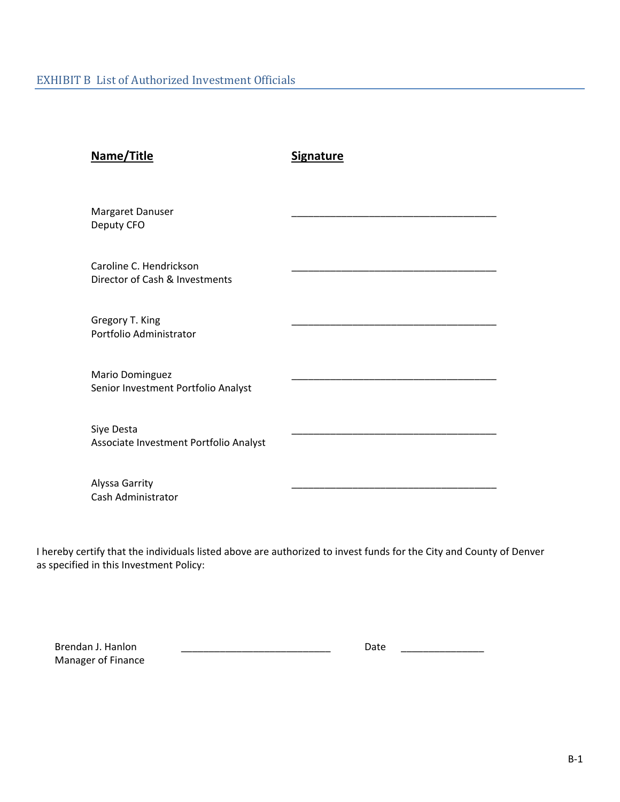<span id="page-27-0"></span>

| Name/Title                                                | <b>Signature</b> |
|-----------------------------------------------------------|------------------|
| Margaret Danuser<br>Deputy CFO                            |                  |
| Caroline C. Hendrickson<br>Director of Cash & Investments |                  |
| Gregory T. King<br>Portfolio Administrator                |                  |
| Mario Dominguez<br>Senior Investment Portfolio Analyst    |                  |
| Siye Desta<br>Associate Investment Portfolio Analyst      |                  |
| Alyssa Garrity<br>Cash Administrator                      |                  |

I hereby certify that the individuals listed above are authorized to invest funds for the City and County of Denver as specified in this Investment Policy:

Manager of Finance

Brendan J. Hanlon \_\_\_\_\_\_\_\_\_\_\_\_\_\_\_\_\_\_\_\_\_\_\_\_\_\_\_ Date \_\_\_\_\_\_\_\_\_\_\_\_\_\_\_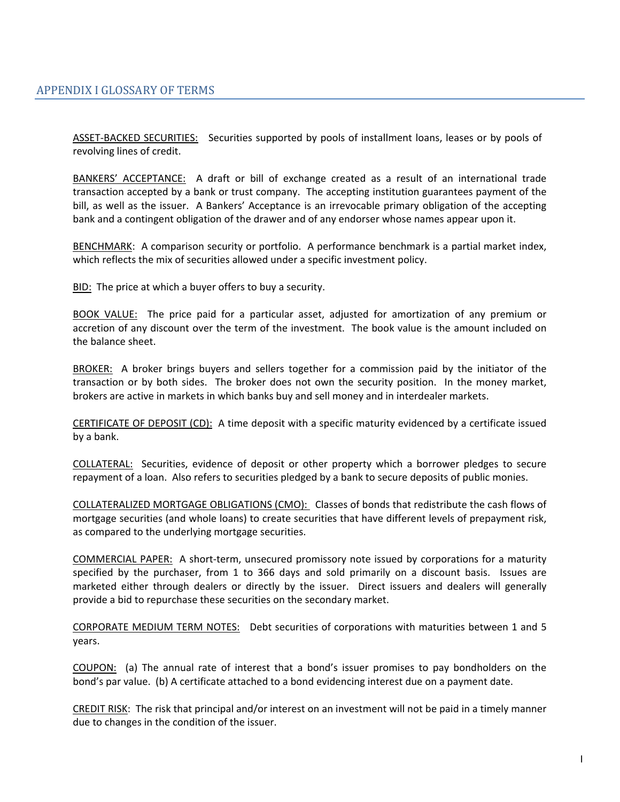<span id="page-28-0"></span>ASSET-BACKED SECURITIES: Securities supported by pools of installment loans, leases or by pools of revolving lines of credit.

BANKERS' ACCEPTANCE: A draft or bill of exchange created as a result of an international trade transaction accepted by a bank or trust company. The accepting institution guarantees payment of the bill, as well as the issuer. A Bankers' Acceptance is an irrevocable primary obligation of the accepting bank and a contingent obligation of the drawer and of any endorser whose names appear upon it.

BENCHMARK: A comparison security or portfolio. A performance benchmark is a partial market index, which reflects the mix of securities allowed under a specific investment policy.

BID: The price at which a buyer offers to buy a security.

BOOK VALUE: The price paid for a particular asset, adjusted for amortization of any premium or accretion of any discount over the term of the investment. The book value is the amount included on the balance sheet.

BROKER: A broker brings buyers and sellers together for a commission paid by the initiator of the transaction or by both sides. The broker does not own the security position. In the money market, brokers are active in markets in which banks buy and sell money and in interdealer markets.

CERTIFICATE OF DEPOSIT (CD): A time deposit with a specific maturity evidenced by a certificate issued by a bank.

COLLATERAL: Securities, evidence of deposit or other property which a borrower pledges to secure repayment of a loan. Also refers to securities pledged by a bank to secure deposits of public monies.

COLLATERALIZED MORTGAGE OBLIGATIONS (CMO): Classes of bonds that redistribute the cash flows of mortgage securities (and whole loans) to create securities that have different levels of prepayment risk, as compared to the underlying mortgage securities.

COMMERCIAL PAPER: A short-term, unsecured promissory note issued by corporations for a maturity specified by the purchaser, from 1 to 366 days and sold primarily on a discount basis. Issues are marketed either through dealers or directly by the issuer. Direct issuers and dealers will generally provide a bid to repurchase these securities on the secondary market.

CORPORATE MEDIUM TERM NOTES: Debt securities of corporations with maturities between 1 and 5 years.

COUPON: (a) The annual rate of interest that a bond's issuer promises to pay bondholders on the bond's par value. (b) A certificate attached to a bond evidencing interest due on a payment date.

CREDIT RISK: The risk that principal and/or interest on an investment will not be paid in a timely manner due to changes in the condition of the issuer.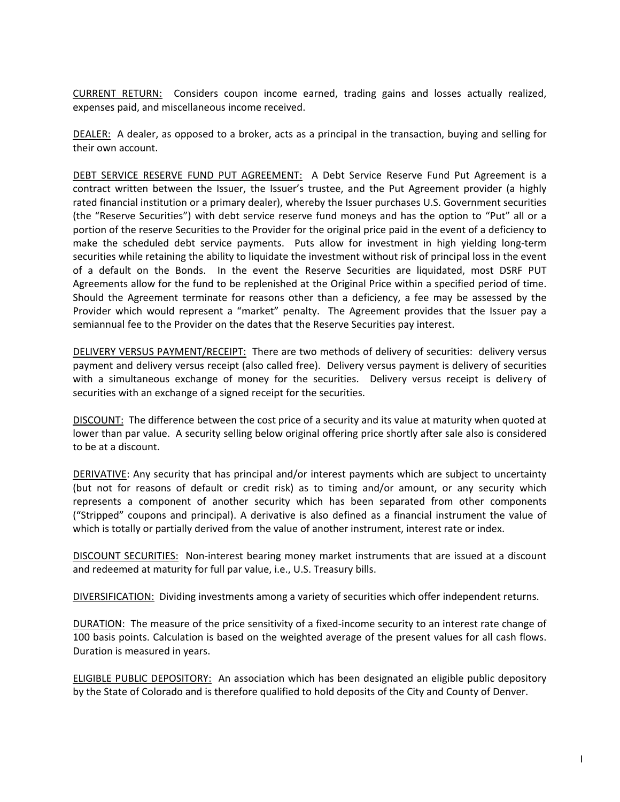CURRENT RETURN: Considers coupon income earned, trading gains and losses actually realized, expenses paid, and miscellaneous income received.

DEALER: A dealer, as opposed to a broker, acts as a principal in the transaction, buying and selling for their own account.

DEBT SERVICE RESERVE FUND PUT AGREEMENT: A Debt Service Reserve Fund Put Agreement is a contract written between the Issuer, the Issuer's trustee, and the Put Agreement provider (a highly rated financial institution or a primary dealer), whereby the Issuer purchases U.S. Government securities (the "Reserve Securities") with debt service reserve fund moneys and has the option to "Put" all or a portion of the reserve Securities to the Provider for the original price paid in the event of a deficiency to make the scheduled debt service payments. Puts allow for investment in high yielding long-term securities while retaining the ability to liquidate the investment without risk of principal loss in the event of a default on the Bonds. In the event the Reserve Securities are liquidated, most DSRF PUT Agreements allow for the fund to be replenished at the Original Price within a specified period of time. Should the Agreement terminate for reasons other than a deficiency, a fee may be assessed by the Provider which would represent a "market" penalty. The Agreement provides that the Issuer pay a semiannual fee to the Provider on the dates that the Reserve Securities pay interest.

DELIVERY VERSUS PAYMENT/RECEIPT: There are two methods of delivery of securities: delivery versus payment and delivery versus receipt (also called free). Delivery versus payment is delivery of securities with a simultaneous exchange of money for the securities. Delivery versus receipt is delivery of securities with an exchange of a signed receipt for the securities.

DISCOUNT: The difference between the cost price of a security and its value at maturity when quoted at lower than par value. A security selling below original offering price shortly after sale also is considered to be at a discount.

DERIVATIVE: Any security that has principal and/or interest payments which are subject to uncertainty (but not for reasons of default or credit risk) as to timing and/or amount, or any security which represents a component of another security which has been separated from other components ("Stripped" coupons and principal). A derivative is also defined as a financial instrument the value of which is totally or partially derived from the value of another instrument, interest rate or index.

DISCOUNT SECURITIES: Non-interest bearing money market instruments that are issued at a discount and redeemed at maturity for full par value, i.e., U.S. Treasury bills.

DIVERSIFICATION: Dividing investments among a variety of securities which offer independent returns.

DURATION: The measure of the price sensitivity of a fixed-income security to an interest rate change of 100 basis points. Calculation is based on the weighted average of the present values for all cash flows. Duration is measured in years.

ELIGIBLE PUBLIC DEPOSITORY: An association which has been designated an eligible public depository by the State of Colorado and is therefore qualified to hold deposits of the City and County of Denver.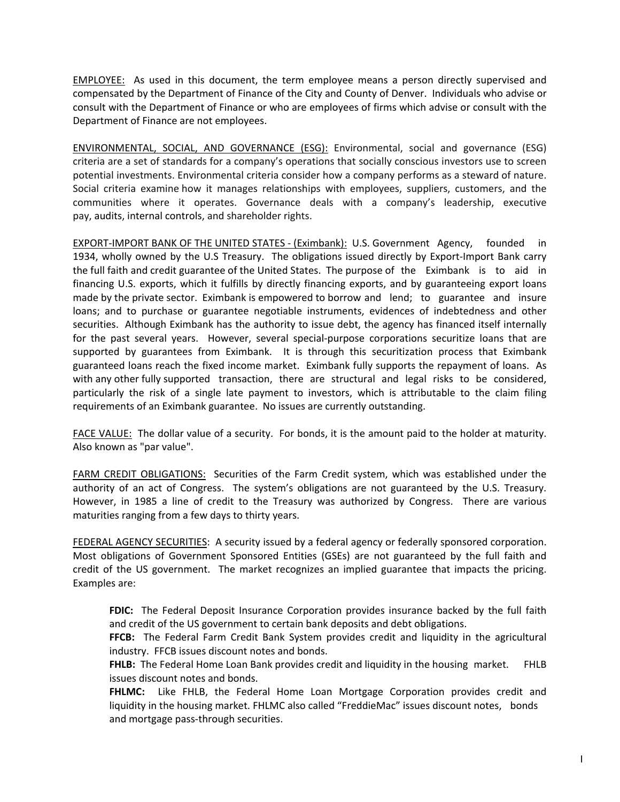EMPLOYEE: As used in this document, the term employee means a person directly supervised and compensated by the Department of Finance of the City and County of Denver. Individuals who advise or consult with the Department of Finance or who are employees of firms which advise or consult with the Department of Finance are not employees.

ENVIRONMENTAL, SOCIAL, AND GOVERNANCE (ESG): Environmental, social and governance (ESG) criteria are a set of standards for a company's operations that socially conscious investors use to screen potential investments. Environmental criteria consider how a company performs as a steward of nature. Social criteria examine how it manages relationships with employees, suppliers, customers, and the communities where it operates. Governance deals with a company's leadership, executive pay, audits, internal controls, and shareholder rights.

EXPORT-IMPORT BANK OF THE UNITED STATES - (Eximbank): U.S. Government Agency, founded in 1934, wholly owned by the U.S Treasury. The obligations issued directly by Export-Import Bank carry the full faith and credit guarantee of the United States. The purpose of the Eximbank is to aid in financing U.S. exports, which it fulfills by directly financing exports, and by guaranteeing export loans made by the private sector. Eximbank is empowered to borrow and lend; to guarantee and insure loans; and to purchase or guarantee negotiable instruments, evidences of indebtedness and other securities. Although Eximbank has the authority to issue debt, the agency has financed itself internally for the past several years. However, several special-purpose corporations securitize loans that are supported by guarantees from Eximbank. It is through this securitization process that Eximbank guaranteed loans reach the fixed income market. Eximbank fully supports the repayment of loans. As with any other fully supported transaction, there are structural and legal risks to be considered, particularly the risk of a single late payment to investors, which is attributable to the claim filing requirements of an Eximbank guarantee. No issues are currently outstanding.

FACE VALUE: The dollar value of a security. For bonds, it is the amount paid to the holder at maturity. Also known as "par value".

FARM CREDIT OBLIGATIONS: Securities of the Farm Credit system, which was established under the authority of an act of Congress. The system's obligations are not guaranteed by the U.S. Treasury. However, in 1985 a line of credit to the Treasury was authorized by Congress. There are various maturities ranging from a few days to thirty years.

FEDERAL AGENCY SECURITIES: A security issued by a federal agency or federally sponsored corporation. Most obligations of Government Sponsored Entities (GSEs) are not guaranteed by the full faith and credit of the US government. The market recognizes an implied guarantee that impacts the pricing. Examples are:

**FDIC:** The Federal Deposit Insurance Corporation provides insurance backed by the full faith and credit of the US government to certain bank deposits and debt obligations.

**FFCB:** The Federal Farm Credit Bank System provides credit and liquidity in the agricultural industry. FFCB issues discount notes and bonds.

**FHLB:** The Federal Home Loan Bank provides credit and liquidity in the housing market. FHLB issues discount notes and bonds.

**FHLMC:** Like FHLB, the Federal Home Loan Mortgage Corporation provides credit and liquidity in the housing market. FHLMC also called "FreddieMac" issues discount notes, bonds and mortgage pass-through securities.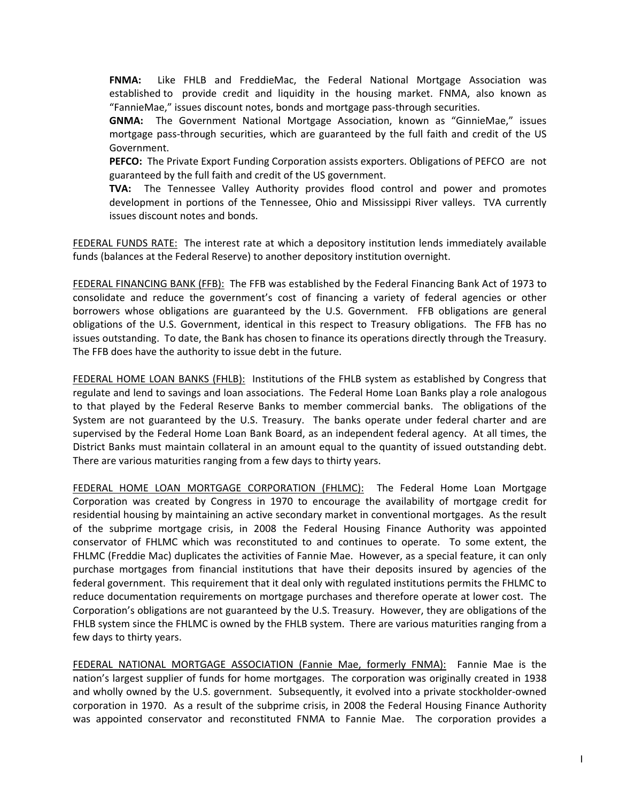**FNMA:** Like FHLB and FreddieMac, the Federal National Mortgage Association was established to provide credit and liquidity in the housing market. FNMA, also known as "FannieMae," issues discount notes, bonds and mortgage pass-through securities.

**GNMA:** The Government National Mortgage Association, known as "GinnieMae," issues mortgage pass-through securities, which are guaranteed by the full faith and credit of the US Government.

**PEFCO:** The Private Export Funding Corporation assists exporters. Obligations of PEFCO are not guaranteed by the full faith and credit of the US government.

**TVA:** The Tennessee Valley Authority provides flood control and power and promotes development in portions of the Tennessee, Ohio and Mississippi River valleys. TVA currently issues discount notes and bonds.

FEDERAL FUNDS RATE: The interest rate at which a depository institution lends immediately available funds (balances at the Federal Reserve) to another depository institution overnight.

FEDERAL FINANCING BANK (FFB): The FFB was established by the Federal Financing Bank Act of 1973 to consolidate and reduce the government's cost of financing a variety of federal agencies or other borrowers whose obligations are guaranteed by the U.S. Government. FFB obligations are general obligations of the U.S. Government, identical in this respect to Treasury obligations. The FFB has no issues outstanding. To date, the Bank has chosen to finance its operations directly through the Treasury. The FFB does have the authority to issue debt in the future.

FEDERAL HOME LOAN BANKS (FHLB): Institutions of the FHLB system as established by Congress that regulate and lend to savings and loan associations. The Federal Home Loan Banks play a role analogous to that played by the Federal Reserve Banks to member commercial banks. The obligations of the System are not guaranteed by the U.S. Treasury. The banks operate under federal charter and are supervised by the Federal Home Loan Bank Board, as an independent federal agency. At all times, the District Banks must maintain collateral in an amount equal to the quantity of issued outstanding debt. There are various maturities ranging from a few days to thirty years.

FEDERAL HOME LOAN MORTGAGE CORPORATION (FHLMC): The Federal Home Loan Mortgage Corporation was created by Congress in 1970 to encourage the availability of mortgage credit for residential housing by maintaining an active secondary market in conventional mortgages. As the result of the subprime mortgage crisis, in 2008 the Federal Housing Finance Authority was appointed conservator of FHLMC which was reconstituted to and continues to operate. To some extent, the FHLMC (Freddie Mac) duplicates the activities of Fannie Mae. However, as a special feature, it can only purchase mortgages from financial institutions that have their deposits insured by agencies of the federal government. This requirement that it deal only with regulated institutions permits the FHLMC to reduce documentation requirements on mortgage purchases and therefore operate at lower cost. The Corporation's obligations are not guaranteed by the U.S. Treasury. However, they are obligations of the FHLB system since the FHLMC is owned by the FHLB system. There are various maturities ranging from a few days to thirty years.

FEDERAL NATIONAL MORTGAGE ASSOCIATION (Fannie Mae, formerly FNMA): Fannie Mae is the nation's largest supplier of funds for home mortgages. The corporation was originally created in 1938 and wholly owned by the U.S. government. Subsequently, it evolved into a private stockholder-owned corporation in 1970. As a result of the subprime crisis, in 2008 the Federal Housing Finance Authority was appointed conservator and reconstituted FNMA to Fannie Mae. The corporation provides a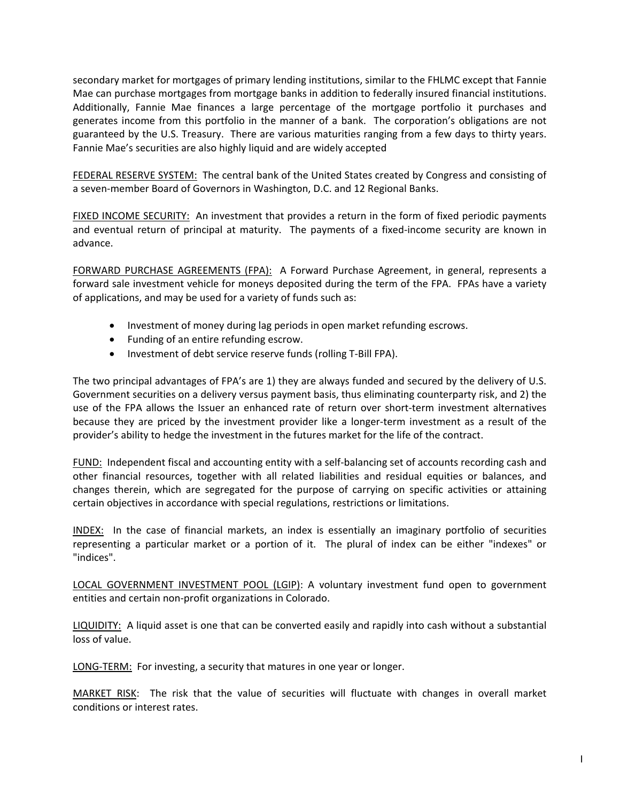secondary market for mortgages of primary lending institutions, similar to the FHLMC except that Fannie Mae can purchase mortgages from mortgage banks in addition to federally insured financial institutions. Additionally, Fannie Mae finances a large percentage of the mortgage portfolio it purchases and generates income from this portfolio in the manner of a bank. The corporation's obligations are not guaranteed by the U.S. Treasury. There are various maturities ranging from a few days to thirty years. Fannie Mae's securities are also highly liquid and are widely accepted

FEDERAL RESERVE SYSTEM: The central bank of the United States created by Congress and consisting of a seven-member Board of Governors in Washington, D.C. and 12 Regional Banks.

FIXED INCOME SECURITY: An investment that provides a return in the form of fixed periodic payments and eventual return of principal at maturity. The payments of a fixed-income security are known in advance.

FORWARD PURCHASE AGREEMENTS (FPA): A Forward Purchase Agreement, in general, represents a forward sale investment vehicle for moneys deposited during the term of the FPA. FPAs have a variety of applications, and may be used for a variety of funds such as:

- Investment of money during lag periods in open market refunding escrows.
- Funding of an entire refunding escrow.
- Investment of debt service reserve funds (rolling T-Bill FPA).

The two principal advantages of FPA's are 1) they are always funded and secured by the delivery of U.S. Government securities on a delivery versus payment basis, thus eliminating counterparty risk, and 2) the use of the FPA allows the Issuer an enhanced rate of return over short-term investment alternatives because they are priced by the investment provider like a longer-term investment as a result of the provider's ability to hedge the investment in the futures market for the life of the contract.

FUND: Independent fiscal and accounting entity with a self-balancing set of accounts recording cash and other financial resources, together with all related liabilities and residual equities or balances, and changes therein, which are segregated for the purpose of carrying on specific activities or attaining certain objectives in accordance with special regulations, restrictions or limitations.

INDEX: In the case of financial markets, an index is essentially an imaginary portfolio of securities representing a particular market or a portion of it. The plural of index can be either "indexes" or "indices".

LOCAL GOVERNMENT INVESTMENT POOL (LGIP): A voluntary investment fund open to government entities and certain non-profit organizations in Colorado.

LIQUIDITY: A liquid asset is one that can be converted easily and rapidly into cash without a substantial loss of value.

LONG-TERM: For investing, a security that matures in one year or longer.

MARKET RISK: The risk that the value of securities will fluctuate with changes in overall market conditions or interest rates.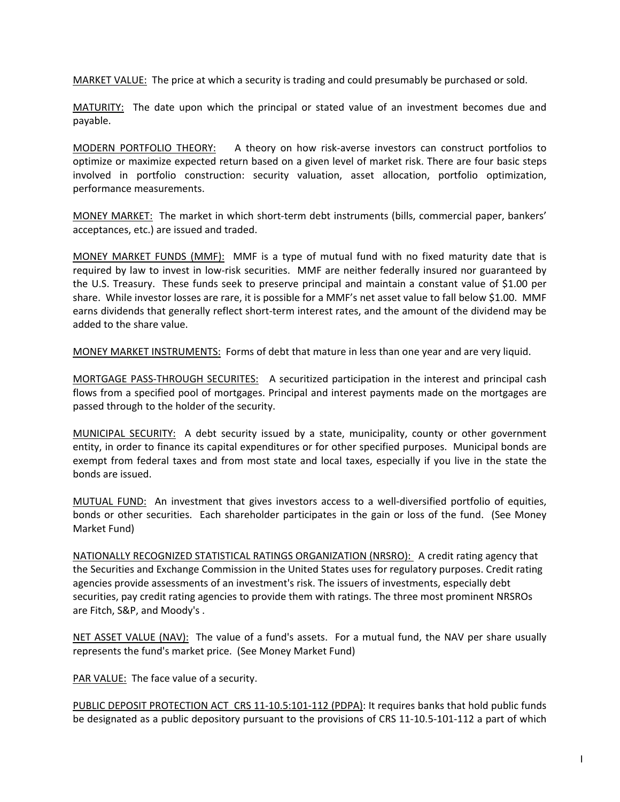MARKET VALUE: The price at which a security is trading and could presumably be purchased or sold.

MATURITY: The date upon which the principal or stated value of an investment becomes due and payable.

MODERN PORTFOLIO THEORY: A theory on how risk-averse investors can construct portfolios to optimize or maximize expected return based on a given level of market risk. There are four basic steps involved in portfolio construction: security valuation, asset allocation, portfolio optimization, performance measurements.

MONEY MARKET: The market in which short-term debt instruments (bills, commercial paper, bankers' acceptances, etc.) are issued and traded.

MONEY MARKET FUNDS (MMF): MMF is a type of mutual fund with no fixed maturity date that is required by law to invest in low-risk securities. MMF are neither federally insured nor guaranteed by the U.S. Treasury. These funds seek to preserve principal and maintain a constant value of \$1.00 per share. While investor losses are rare, it is possible for a MMF's net asset value to fall below \$1.00. MMF earns dividends that generally reflect short-term interest rates, and the amount of the dividend may be added to the share value.

MONEY MARKET INSTRUMENTS: Forms of debt that mature in less than one year and are very liquid.

MORTGAGE PASS-THROUGH SECURITES: A securitized participation in the interest and principal cash flows from a specified pool of mortgages. Principal and interest payments made on the mortgages are passed through to the holder of the security.

MUNICIPAL SECURITY: A debt security issued by a state, municipality, county or other government entity, in order to finance its capital expenditures or for other specified purposes. Municipal bonds are exempt from federal taxes and from most state and local taxes, especially if you live in the state the bonds are issued.

MUTUAL FUND: An investment that gives investors access to a well-diversified portfolio of equities, bonds or other securities. Each shareholder participates in the gain or loss of the fund. (See Money Market Fund)

NATIONALLY RECOGNIZED STATISTICAL RATINGS ORGANIZATION (NRSRO): A credit rating agency that the Securities and Exchange Commission in the United States uses for regulatory purposes. Credit rating agencies provide assessments of an investment's risk. The issuers of investments, especially debt securities, pay credit rating agencies to provide them with ratings. The three most prominent NRSROs are Fitch, S&P, and Moody's .

NET ASSET VALUE (NAV): The value of a fund's assets. For a mutual fund, the NAV per share usually represents the fund's market price. (See Money Market Fund)

PAR VALUE: The face value of a security.

PUBLIC DEPOSIT PROTECTION ACT CRS 11-10.5:101-112 (PDPA): It requires banks that hold public funds be designated as a public depository pursuant to the provisions of CRS 11-10.5-101-112 a part of which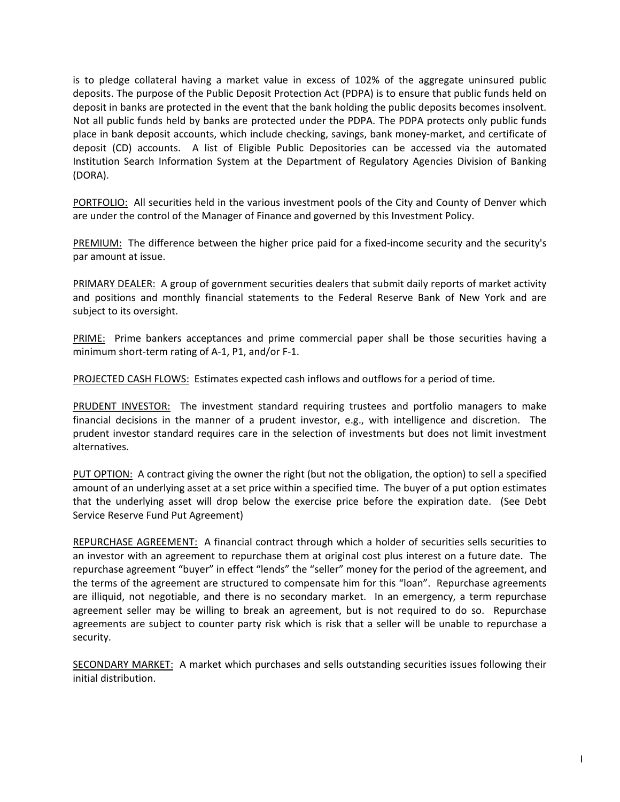is to pledge collateral having a market value in excess of 102% of the aggregate uninsured public deposits. The purpose of the Public Deposit Protection Act (PDPA) is to ensure that public funds held on deposit in banks are protected in the event that the bank holding the public deposits becomes insolvent. Not all public funds held by banks are protected under the PDPA. The PDPA protects only public funds place in bank deposit accounts, which include checking, savings, bank money-market, and certificate of deposit (CD) accounts. A list of Eligible Public Depositories can be accessed via the automated Institution Search Information System at the Department of Regulatory Agencies Division of Banking (DORA).

PORTFOLIO: All securities held in the various investment pools of the City and County of Denver which are under the control of the Manager of Finance and governed by this Investment Policy.

PREMIUM: The difference between the higher price paid for a fixed-income security and the security's par amount at issue.

PRIMARY DEALER: A group of government securities dealers that submit daily reports of market activity and positions and monthly financial statements to the Federal Reserve Bank of New York and are subject to its oversight.

PRIME: Prime bankers acceptances and prime commercial paper shall be those securities having a minimum short-term rating of A-1, P1, and/or F-1.

PROJECTED CASH FLOWS: Estimates expected cash inflows and outflows for a period of time.

PRUDENT INVESTOR: The investment standard requiring trustees and portfolio managers to make financial decisions in the manner of a prudent investor, e.g., with intelligence and discretion. The prudent investor standard requires care in the selection of investments but does not limit investment alternatives.

PUT OPTION: A contract giving the owner the right (but not the obligation, the option) to sell a specified amount of an underlying asset at a set price within a specified time. The buyer of a put option estimates that the underlying asset will drop below the exercise price before the expiration date. (See Debt Service Reserve Fund Put Agreement)

REPURCHASE AGREEMENT: A financial contract through which a holder of securities sells securities to an investor with an agreement to repurchase them at original cost plus interest on a future date. The repurchase agreement "buyer" in effect "lends" the "seller" money for the period of the agreement, and the terms of the agreement are structured to compensate him for this "loan". Repurchase agreements are illiquid, not negotiable, and there is no secondary market. In an emergency, a term repurchase agreement seller may be willing to break an agreement, but is not required to do so. Repurchase agreements are subject to counter party risk which is risk that a seller will be unable to repurchase a security.

SECONDARY MARKET: A market which purchases and sells outstanding securities issues following their initial distribution.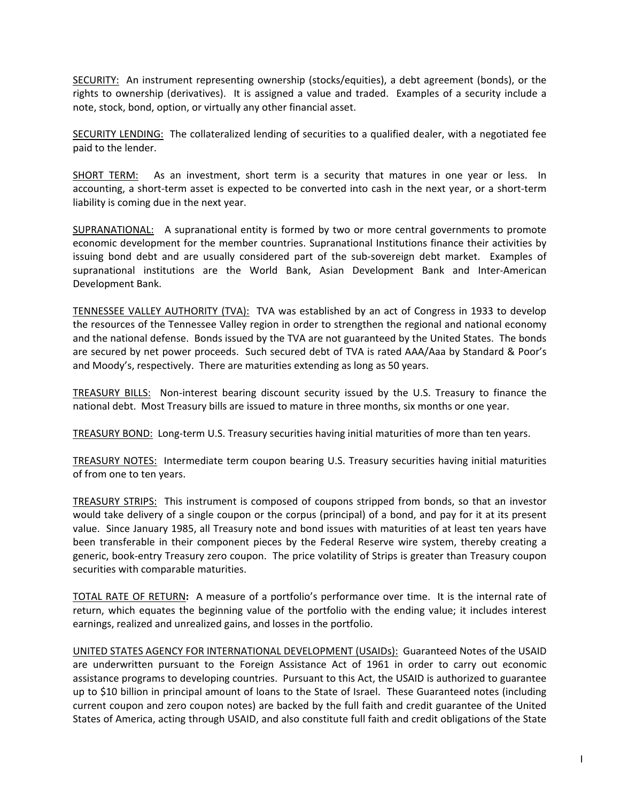SECURITY: An instrument representing ownership (stocks/equities), a debt agreement (bonds), or the rights to ownership (derivatives). It is assigned a value and traded. Examples of a security include a note, stock, bond, option, or virtually any other financial asset.

SECURITY LENDING: The collateralized lending of securities to a qualified dealer, with a negotiated fee paid to the lender.

SHORT TERM: As an investment, short term is a security that matures in one year or less. In accounting, a short-term asset is expected to be converted into cash in the next year, or a short-term liability is coming due in the next year.

SUPRANATIONAL: A supranational entity is formed by two or more central governments to promote economic development for the member countries. Supranational Institutions finance their activities by issuing bond debt and are usually considered part of the sub-sovereign debt market. Examples of supranational institutions are the World Bank, Asian Development Bank and Inter-American Development Bank.

TENNESSEE VALLEY AUTHORITY (TVA): TVA was established by an act of Congress in 1933 to develop the resources of the Tennessee Valley region in order to strengthen the regional and national economy and the national defense. Bonds issued by the TVA are not guaranteed by the United States. The bonds are secured by net power proceeds. Such secured debt of TVA is rated AAA/Aaa by Standard & Poor's and Moody's, respectively. There are maturities extending as long as 50 years.

TREASURY BILLS: Non-interest bearing discount security issued by the U.S. Treasury to finance the national debt. Most Treasury bills are issued to mature in three months, six months or one year.

TREASURY BOND: Long-term U.S. Treasury securities having initial maturities of more than ten years.

TREASURY NOTES: Intermediate term coupon bearing U.S. Treasury securities having initial maturities of from one to ten years.

TREASURY STRIPS: This instrument is composed of coupons stripped from bonds, so that an investor would take delivery of a single coupon or the corpus (principal) of a bond, and pay for it at its present value. Since January 1985, all Treasury note and bond issues with maturities of at least ten years have been transferable in their component pieces by the Federal Reserve wire system, thereby creating a generic, book-entry Treasury zero coupon. The price volatility of Strips is greater than Treasury coupon securities with comparable maturities.

TOTAL RATE OF RETURN**:** A measure of a portfolio's performance over time. It is the internal rate of return, which equates the beginning value of the portfolio with the ending value; it includes interest earnings, realized and unrealized gains, and losses in the portfolio.

UNITED STATES AGENCY FOR INTERNATIONAL DEVELOPMENT (USAIDs): Guaranteed Notes of the USAID are underwritten pursuant to the Foreign Assistance Act of 1961 in order to carry out economic assistance programs to developing countries. Pursuant to this Act, the USAID is authorized to guarantee up to \$10 billion in principal amount of loans to the State of Israel. These Guaranteed notes (including current coupon and zero coupon notes) are backed by the full faith and credit guarantee of the United States of America, acting through USAID, and also constitute full faith and credit obligations of the State